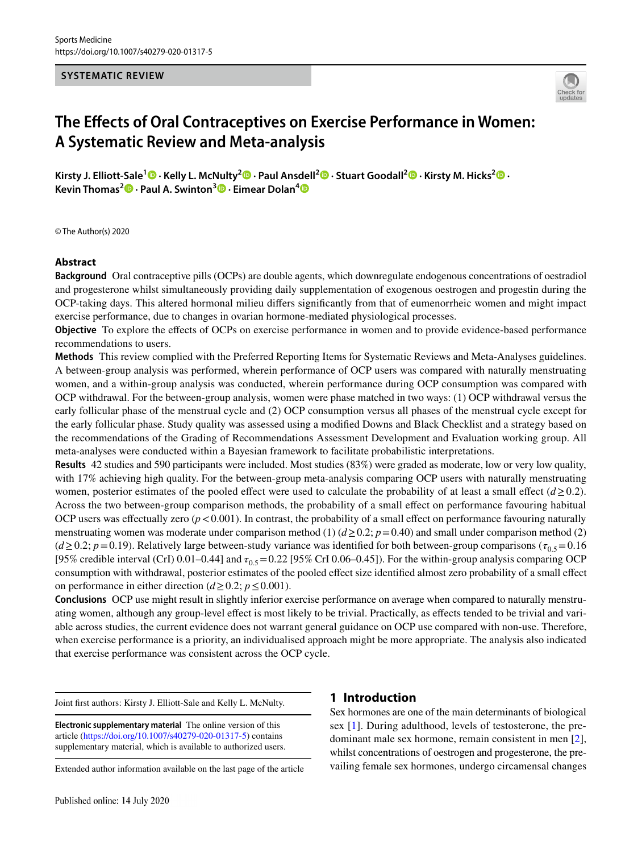#### **SYSTEMATIC REVIEW**



# **The Efects of Oral Contraceptives on Exercise Performance in Women: A Systematic Review and Meta‑analysis**

**Kirsty J. Elliott‑Sale[1](http://orcid.org/0000-0003-1122-5099) · Kelly L. McNulty<sup>2</sup> · Paul Ansdell2 · Stuart Goodall2 · Kirsty M. Hicks2  [·](http://orcid.org/0000-0002-5057-9191) Kevin Thomas2  [·](http://orcid.org/0000-0003-2973-5337) Paul A. Swinton3  [·](http://orcid.org/0000-0001-9663-0696) Eimear Dolan[4](http://orcid.org/0000-0002-1018-7601)**

© The Author(s) 2020

#### **Abstract**

**Background** Oral contraceptive pills (OCPs) are double agents, which downregulate endogenous concentrations of oestradiol and progesterone whilst simultaneously providing daily supplementation of exogenous oestrogen and progestin during the OCP-taking days. This altered hormonal milieu difers signifcantly from that of eumenorrheic women and might impact exercise performance, due to changes in ovarian hormone-mediated physiological processes.

**Objective** To explore the effects of OCPs on exercise performance in women and to provide evidence-based performance recommendations to users.

**Methods** This review complied with the Preferred Reporting Items for Systematic Reviews and Meta-Analyses guidelines. A between-group analysis was performed, wherein performance of OCP users was compared with naturally menstruating women, and a within-group analysis was conducted, wherein performance during OCP consumption was compared with OCP withdrawal. For the between-group analysis, women were phase matched in two ways: (1) OCP withdrawal versus the early follicular phase of the menstrual cycle and (2) OCP consumption versus all phases of the menstrual cycle except for the early follicular phase. Study quality was assessed using a modifed Downs and Black Checklist and a strategy based on the recommendations of the Grading of Recommendations Assessment Development and Evaluation working group. All meta-analyses were conducted within a Bayesian framework to facilitate probabilistic interpretations.

**Results** 42 studies and 590 participants were included. Most studies (83%) were graded as moderate, low or very low quality, with 17% achieving high quality. For the between-group meta-analysis comparing OCP users with naturally menstruating women, posterior estimates of the pooled effect were used to calculate the probability of at least a small effect  $(d \ge 0.2)$ . Across the two between-group comparison methods, the probability of a small efect on performance favouring habitual OCP users was effectually zero  $(p < 0.001)$ . In contrast, the probability of a small effect on performance favouring naturally menstruating women was moderate under comparison method (1)  $(d \ge 0.2; p = 0.40)$  and small under comparison method (2)  $(d \ge 0.2; p = 0.19)$ . Relatively large between-study variance was identified for both between-group comparisons ( $\tau_{0.5}$  = 0.16 [95% credible interval (CrI) 0.01–0.44] and  $\tau_{0.5}$  = 0.22 [95% CrI 0.06–0.45]). For the within-group analysis comparing OCP consumption with withdrawal, posterior estimates of the pooled efect size identifed almost zero probability of a small efect on performance in either direction ( $d \ge 0.2$ ;  $p \le 0.001$ ).

**Conclusions** OCP use might result in slightly inferior exercise performance on average when compared to naturally menstruating women, although any group-level efect is most likely to be trivial. Practically, as efects tended to be trivial and variable across studies, the current evidence does not warrant general guidance on OCP use compared with non-use. Therefore, when exercise performance is a priority, an individualised approach might be more appropriate. The analysis also indicated that exercise performance was consistent across the OCP cycle.

Joint frst authors: Kirsty J. Elliott-Sale and Kelly L. McNulty.

**Electronic supplementary material** The online version of this article [\(https://doi.org/10.1007/s40279-020-01317-5\)](https://doi.org/10.1007/s40279-020-01317-5) contains supplementary material, which is available to authorized users.

# **1 Introduction**

Sex hormones are one of the main determinants of biological sex [[1](#page-25-0)]. During adulthood, levels of testosterone, the predominant male sex hormone, remain consistent in men [\[2](#page-25-1)], whilst concentrations of oestrogen and progesterone, the prevailing female sex hormones, undergo circamensal changes

Extended author information available on the last page of the article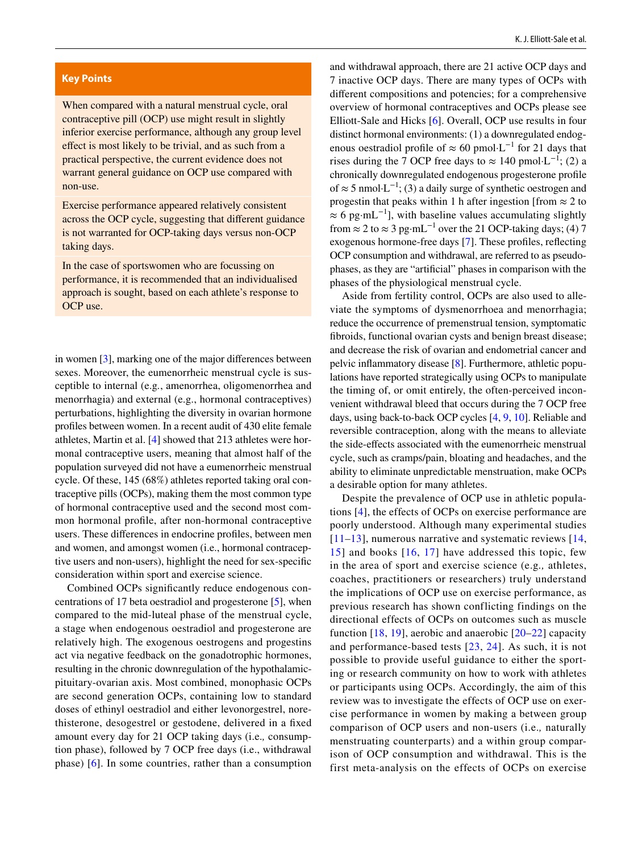#### **Key Points**

When compared with a natural menstrual cycle, oral contraceptive pill (OCP) use might result in slightly inferior exercise performance, although any group level efect is most likely to be trivial, and as such from a practical perspective, the current evidence does not warrant general guidance on OCP use compared with non-use.

Exercise performance appeared relatively consistent across the OCP cycle, suggesting that diferent guidance is not warranted for OCP-taking days versus non-OCP taking days.

In the case of sportswomen who are focussing on performance, it is recommended that an individualised approach is sought, based on each athlete's response to OCP use.

in women [[3](#page-25-2)], marking one of the major diferences between sexes. Moreover, the eumenorrheic menstrual cycle is susceptible to internal (e.g*.*, amenorrhea, oligomenorrhea and menorrhagia) and external (e.g., hormonal contraceptives) perturbations, highlighting the diversity in ovarian hormone profles between women. In a recent audit of 430 elite female athletes, Martin et al. [[4\]](#page-25-3) showed that 213 athletes were hormonal contraceptive users, meaning that almost half of the population surveyed did not have a eumenorrheic menstrual cycle. Of these, 145 (68%) athletes reported taking oral contraceptive pills (OCPs), making them the most common type of hormonal contraceptive used and the second most common hormonal profle, after non-hormonal contraceptive users. These diferences in endocrine profles, between men and women, and amongst women (i.e., hormonal contraceptive users and non-users), highlight the need for sex-specifc consideration within sport and exercise science.

Combined OCPs signifcantly reduce endogenous concentrations of 17 beta oestradiol and progesterone [\[5](#page-25-4)], when compared to the mid-luteal phase of the menstrual cycle, a stage when endogenous oestradiol and progesterone are relatively high. The exogenous oestrogens and progestins act via negative feedback on the gonadotrophic hormones, resulting in the chronic downregulation of the hypothalamicpituitary-ovarian axis. Most combined, monophasic OCPs are second generation OCPs, containing low to standard doses of ethinyl oestradiol and either levonorgestrel, norethisterone, desogestrel or gestodene, delivered in a fxed amount every day for 21 OCP taking days (i.e.*,* consumption phase), followed by 7 OCP free days (i.e., withdrawal phase) [[6\]](#page-25-5). In some countries, rather than a consumption and withdrawal approach, there are 21 active OCP days and 7 inactive OCP days. There are many types of OCPs with diferent compositions and potencies; for a comprehensive overview of hormonal contraceptives and OCPs please see Elliott-Sale and Hicks [\[6](#page-25-5)]. Overall, OCP use results in four distinct hormonal environments: (1) a downregulated endogenous oestradiol profile of  $\approx 60$  pmol·L<sup>-1</sup> for 21 days that rises during the 7 OCP free days to  $\approx 140$  pmol·L<sup>-1</sup>; (2) a chronically downregulated endogenous progesterone profle of  $\approx$  5 nmol⋅L<sup>-1</sup>; (3) a daily surge of synthetic oestrogen and progestin that peaks within 1 h after ingestion [from  $\approx$  2 to  $\approx 6$  pg·mL<sup>-1</sup>], with baseline values accumulating slightly from  $\approx$  2 to  $\approx$  3 pg·mL<sup>-1</sup> over the 21 OCP-taking days; (4) 7 exogenous hormone-free days [[7\]](#page-25-6). These profles, refecting OCP consumption and withdrawal, are referred to as pseudophases, as they are "artifcial" phases in comparison with the phases of the physiological menstrual cycle.

Aside from fertility control, OCPs are also used to alleviate the symptoms of dysmenorrhoea and menorrhagia; reduce the occurrence of premenstrual tension, symptomatic fbroids, functional ovarian cysts and benign breast disease; and decrease the risk of ovarian and endometrial cancer and pelvic infammatory disease [\[8](#page-25-7)]. Furthermore, athletic populations have reported strategically using OCPs to manipulate the timing of, or omit entirely, the often-perceived inconvenient withdrawal bleed that occurs during the 7 OCP free days, using back-to-back OCP cycles [\[4](#page-25-3), [9](#page-25-8), [10\]](#page-25-9). Reliable and reversible contraception, along with the means to alleviate the side-efects associated with the eumenorrheic menstrual cycle, such as cramps/pain, bloating and headaches, and the ability to eliminate unpredictable menstruation, make OCPs a desirable option for many athletes.

Despite the prevalence of OCP use in athletic populations [\[4](#page-25-3)], the effects of OCPs on exercise performance are poorly understood. Although many experimental studies  $[11–13]$  $[11–13]$  $[11–13]$ , numerous narrative and systematic reviews  $[14, 1]$  $[14, 1]$ [15\]](#page-25-13) and books [[16](#page-25-14), [17](#page-25-15)] have addressed this topic, few in the area of sport and exercise science (e.g*.,* athletes, coaches, practitioners or researchers) truly understand the implications of OCP use on exercise performance, as previous research has shown conflicting findings on the directional effects of OCPs on outcomes such as muscle function  $[18, 19]$  $[18, 19]$  $[18, 19]$  $[18, 19]$ , aerobic and anaerobic  $[20-22]$  $[20-22]$  $[20-22]$  capacity and performance-based tests [[23,](#page-25-20) [24](#page-26-0)]. As such, it is not possible to provide useful guidance to either the sporting or research community on how to work with athletes or participants using OCPs. Accordingly, the aim of this review was to investigate the effects of OCP use on exercise performance in women by making a between group comparison of OCP users and non-users (i.e.*,* naturally menstruating counterparts) and a within group comparison of OCP consumption and withdrawal. This is the first meta-analysis on the effects of OCPs on exercise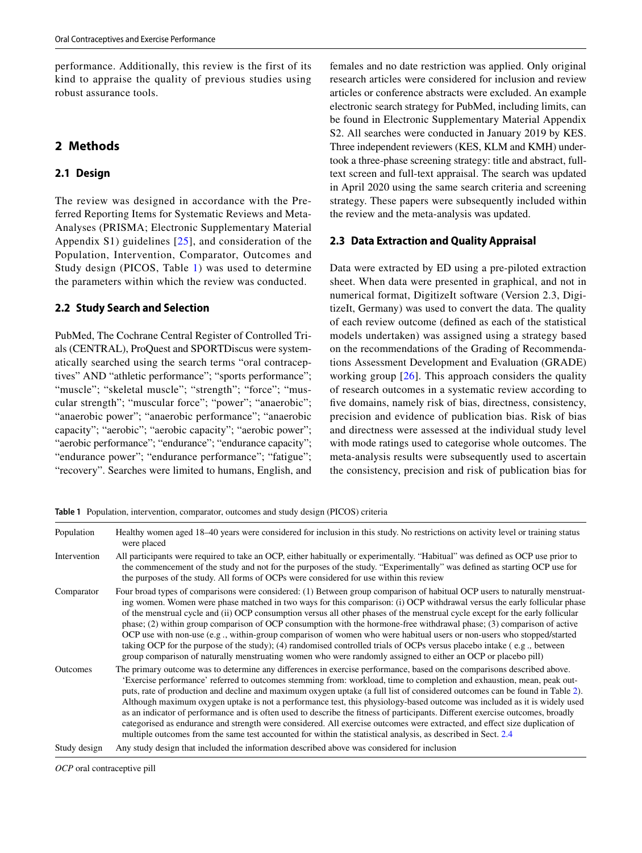performance. Additionally, this review is the first of its kind to appraise the quality of previous studies using robust assurance tools.

# **2 Methods**

#### **2.1 Design**

The review was designed in accordance with the Preferred Reporting Items for Systematic Reviews and Meta-Analyses (PRISMA; Electronic Supplementary Material Appendix S1) guidelines [[25](#page-26-1)], and consideration of the Population, Intervention, Comparator, Outcomes and Study design (PICOS, Table [1](#page-2-0)) was used to determine the parameters within which the review was conducted.

#### **2.2 Study Search and Selection**

PubMed, The Cochrane Central Register of Controlled Trials (CENTRAL), ProQuest and SPORTDiscus were systematically searched using the search terms "oral contraceptives" AND "athletic performance"; "sports performance"; "muscle"; "skeletal muscle"; "strength"; "force"; "muscular strength"; "muscular force"; "power"; "anaerobic"; "anaerobic power"; "anaerobic performance"; "anaerobic capacity"; "aerobic"; "aerobic capacity"; "aerobic power"; "aerobic performance"; "endurance"; "endurance capacity"; "endurance power"; "endurance performance"; "fatigue"; "recovery". Searches were limited to humans, English, and females and no date restriction was applied. Only original research articles were considered for inclusion and review articles or conference abstracts were excluded. An example electronic search strategy for PubMed, including limits, can be found in Electronic Supplementary Material Appendix S2. All searches were conducted in January 2019 by KES. Three independent reviewers (KES, KLM and KMH) undertook a three-phase screening strategy: title and abstract, fulltext screen and full-text appraisal. The search was updated in April 2020 using the same search criteria and screening strategy. These papers were subsequently included within the review and the meta-analysis was updated.

#### **2.3 Data Extraction and Quality Appraisal**

Data were extracted by ED using a pre-piloted extraction sheet. When data were presented in graphical, and not in numerical format, DigitizeIt software (Version 2.3, DigitizeIt, Germany) was used to convert the data. The quality of each review outcome (defned as each of the statistical models undertaken) was assigned using a strategy based on the recommendations of the Grading of Recommendations Assessment Development and Evaluation (GRADE) working group [[26\]](#page-26-2). This approach considers the quality of research outcomes in a systematic review according to fve domains, namely risk of bias, directness, consistency, precision and evidence of publication bias. Risk of bias and directness were assessed at the individual study level with mode ratings used to categorise whole outcomes. The meta-analysis results were subsequently used to ascertain the consistency, precision and risk of publication bias for

<span id="page-2-0"></span>**Table 1** Population, intervention, comparator, outcomes and study design (PICOS) criteria

| Population      | Healthy women aged 18-40 years were considered for inclusion in this study. No restrictions on activity level or training status<br>were placed                                                                                                                                                                                                                                                                                                                                                                                                                                                                                                                                                                                                                                                                                                                                                   |
|-----------------|---------------------------------------------------------------------------------------------------------------------------------------------------------------------------------------------------------------------------------------------------------------------------------------------------------------------------------------------------------------------------------------------------------------------------------------------------------------------------------------------------------------------------------------------------------------------------------------------------------------------------------------------------------------------------------------------------------------------------------------------------------------------------------------------------------------------------------------------------------------------------------------------------|
| Intervention    | All participants were required to take an OCP, either habitually or experimentally. "Habitual" was defined as OCP use prior to<br>the commencement of the study and not for the purposes of the study. "Experimentally" was defined as starting OCP use for<br>the purposes of the study. All forms of OCPs were considered for use within this review                                                                                                                                                                                                                                                                                                                                                                                                                                                                                                                                            |
| Comparator      | Four broad types of comparisons were considered: (1) Between group comparison of habitual OCP users to naturally menstruat-<br>ing women. Women were phase matched in two ways for this comparison: (i) OCP withdrawal versus the early follicular phase<br>of the menstrual cycle and (ii) OCP consumption versus all other phases of the menstrual cycle except for the early follicular<br>phase; $(2)$ within group comparison of OCP consumption with the hormone-free withdrawal phase; $(3)$ comparison of active<br>OCP use with non-use (e.g., within-group comparison of women who were habitual users or non-users who stopped/started<br>taking OCP for the purpose of the study); (4) randomised controlled trials of OCPs versus placebo intake (e.g., between<br>group comparison of naturally menstruating women who were randomly assigned to either an OCP or placebo pill)     |
| <b>Outcomes</b> | The primary outcome was to determine any differences in exercise performance, based on the comparisons described above.<br>'Exercise performance' referred to outcomes stemming from: workload, time to completion and exhaustion, mean, peak out-<br>puts, rate of production and decline and maximum oxygen uptake (a full list of considered outcomes can be found in Table 2).<br>Although maximum oxygen uptake is not a performance test, this physiology-based outcome was included as it is widely used<br>as an indicator of performance and is often used to describe the fitness of participants. Different exercise outcomes, broadly<br>categorised as endurance and strength were considered. All exercise outcomes were extracted, and effect size duplication of<br>multiple outcomes from the same test accounted for within the statistical analysis, as described in Sect. 2.4 |
| Study design    | Any study design that included the information described above was considered for inclusion                                                                                                                                                                                                                                                                                                                                                                                                                                                                                                                                                                                                                                                                                                                                                                                                       |

*OCP* oral contraceptive pill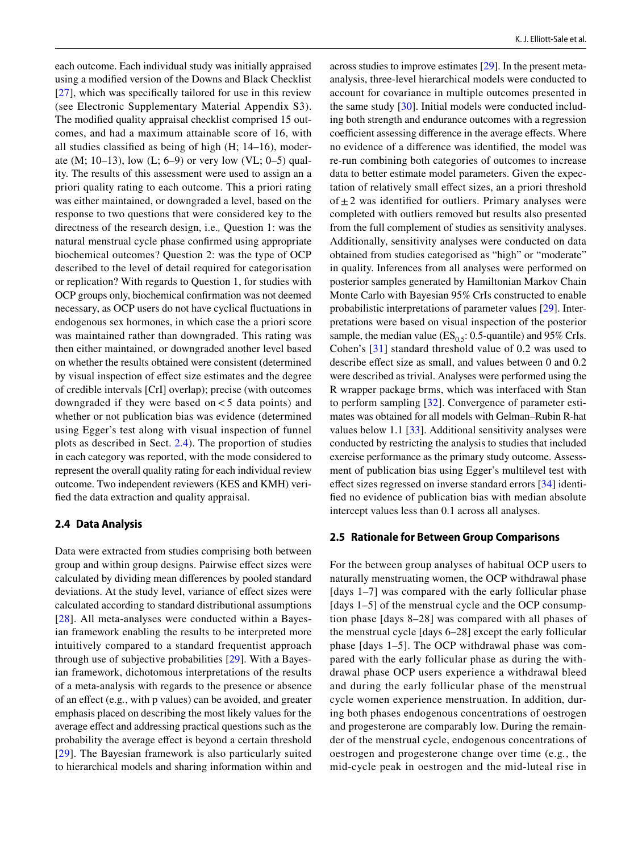each outcome. Each individual study was initially appraised using a modifed version of the Downs and Black Checklist [\[27\]](#page-26-3), which was specifically tailored for use in this review (see Electronic Supplementary Material Appendix S3). The modifed quality appraisal checklist comprised 15 outcomes, and had a maximum attainable score of 16, with all studies classifed as being of high (H; 14–16), moderate (M; 10–13), low (L; 6–9) or very low (VL; 0–5) quality. The results of this assessment were used to assign an a priori quality rating to each outcome. This a priori rating was either maintained, or downgraded a level, based on the response to two questions that were considered key to the directness of the research design, i.e.*,* Question 1: was the natural menstrual cycle phase confrmed using appropriate biochemical outcomes? Question 2: was the type of OCP described to the level of detail required for categorisation or replication? With regards to Question 1, for studies with OCP groups only, biochemical confrmation was not deemed necessary, as OCP users do not have cyclical fuctuations in endogenous sex hormones, in which case the a priori score was maintained rather than downgraded. This rating was then either maintained, or downgraded another level based on whether the results obtained were consistent (determined by visual inspection of efect size estimates and the degree of credible intervals [CrI] overlap); precise (with outcomes downgraded if they were based on  $\lt$  5 data points) and whether or not publication bias was evidence (determined using Egger's test along with visual inspection of funnel plots as described in Sect. [2.4\)](#page-3-0). The proportion of studies in each category was reported, with the mode considered to represent the overall quality rating for each individual review outcome. Two independent reviewers (KES and KMH) verifed the data extraction and quality appraisal.

#### **2.4 Data Analysis**

Data were extracted from studies comprising both between group and within group designs. Pairwise efect sizes were calculated by dividing mean diferences by pooled standard deviations. At the study level, variance of efect sizes were calculated according to standard distributional assumptions [[28\]](#page-26-4). All meta-analyses were conducted within a Bayesian framework enabling the results to be interpreted more intuitively compared to a standard frequentist approach through use of subjective probabilities [[29\]](#page-26-5). With a Bayesian framework, dichotomous interpretations of the results of a meta-analysis with regards to the presence or absence of an efect (e.g*.*, with p values) can be avoided, and greater emphasis placed on describing the most likely values for the average efect and addressing practical questions such as the probability the average efect is beyond a certain threshold [[29\]](#page-26-5). The Bayesian framework is also particularly suited to hierarchical models and sharing information within and across studies to improve estimates [[29\]](#page-26-5). In the present metaanalysis, three-level hierarchical models were conducted to account for covariance in multiple outcomes presented in the same study [\[30](#page-26-6)]. Initial models were conducted including both strength and endurance outcomes with a regression coefficient assessing difference in the average effects. Where no evidence of a diference was identifed, the model was re-run combining both categories of outcomes to increase data to better estimate model parameters. Given the expectation of relatively small efect sizes, an a priori threshold of  $\pm 2$  was identified for outliers. Primary analyses were completed with outliers removed but results also presented from the full complement of studies as sensitivity analyses. Additionally, sensitivity analyses were conducted on data obtained from studies categorised as "high" or "moderate" in quality. Inferences from all analyses were performed on posterior samples generated by Hamiltonian Markov Chain Monte Carlo with Bayesian 95% CrIs constructed to enable probabilistic interpretations of parameter values [[29\]](#page-26-5). Interpretations were based on visual inspection of the posterior sample, the median value ( $ES_0$ <sub>5</sub>: 0.5-quantile) and 95% CrIs. Cohen's [[31](#page-26-7)] standard threshold value of 0.2 was used to describe effect size as small, and values between 0 and  $0.2$ were described as trivial. Analyses were performed using the R wrapper package brms, which was interfaced with Stan to perform sampling [[32\]](#page-26-8). Convergence of parameter estimates was obtained for all models with Gelman–Rubin R-hat values below 1.1 [[33](#page-26-9)]. Additional sensitivity analyses were conducted by restricting the analysis to studies that included exercise performance as the primary study outcome. Assessment of publication bias using Egger's multilevel test with efect sizes regressed on inverse standard errors [\[34](#page-26-10)] identifed no evidence of publication bias with median absolute intercept values less than 0.1 across all analyses.

#### <span id="page-3-0"></span>**2.5 Rationale for Between Group Comparisons**

For the between group analyses of habitual OCP users to naturally menstruating women, the OCP withdrawal phase [days 1–7] was compared with the early follicular phase [days 1–5] of the menstrual cycle and the OCP consumption phase [days 8–28] was compared with all phases of the menstrual cycle [days 6–28] except the early follicular phase [days 1–5]. The OCP withdrawal phase was compared with the early follicular phase as during the withdrawal phase OCP users experience a withdrawal bleed and during the early follicular phase of the menstrual cycle women experience menstruation. In addition, during both phases endogenous concentrations of oestrogen and progesterone are comparably low. During the remainder of the menstrual cycle, endogenous concentrations of oestrogen and progesterone change over time (e.g*.*, the mid-cycle peak in oestrogen and the mid-luteal rise in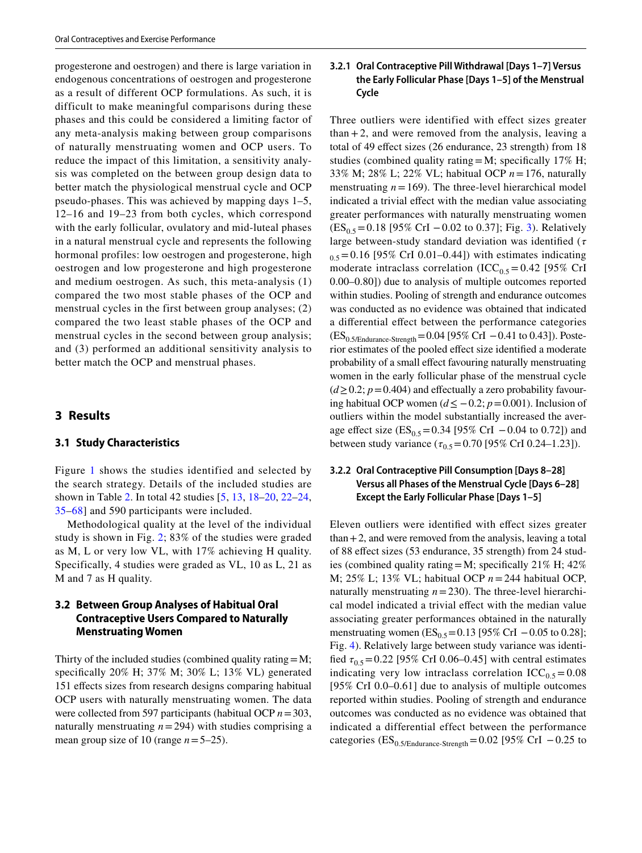progesterone and oestrogen) and there is large variation in endogenous concentrations of oestrogen and progesterone as a result of different OCP formulations. As such, it is difficult to make meaningful comparisons during these phases and this could be considered a limiting factor of any meta-analysis making between group comparisons of naturally menstruating women and OCP users. To reduce the impact of this limitation, a sensitivity analysis was completed on the between group design data to better match the physiological menstrual cycle and OCP pseudo-phases. This was achieved by mapping days 1–5, 12–16 and 19–23 from both cycles, which correspond with the early follicular, ovulatory and mid-luteal phases in a natural menstrual cycle and represents the following hormonal profiles: low oestrogen and progesterone, high oestrogen and low progesterone and high progesterone and medium oestrogen. As such, this meta-analysis (1) compared the two most stable phases of the OCP and menstrual cycles in the first between group analyses; (2) compared the two least stable phases of the OCP and menstrual cycles in the second between group analysis; and (3) performed an additional sensitivity analysis to better match the OCP and menstrual phases.

#### **3 Results**

#### **3.1 Study Characteristics**

Figure [1](#page-18-0) shows the studies identified and selected by the search strategy. Details of the included studies are shown in Table [2.](#page-5-0) In total 42 studies [[5](#page-25-4), [13](#page-25-11), [18–](#page-25-16)[20,](#page-25-18) [22](#page-25-19)[–24,](#page-26-0) [35–](#page-26-11)[68](#page-27-0)] and 590 participants were included.

Methodological quality at the level of the individual study is shown in Fig. [2;](#page-19-0) 83% of the studies were graded as M, L or very low VL, with 17% achieving H quality. Specifically, 4 studies were graded as VL, 10 as L, 21 as M and 7 as H quality.

### **3.2 Between Group Analyses of Habitual Oral Contraceptive Users Compared to Naturally Menstruating Women**

Thirty of the included studies (combined quality rating=M; specifcally 20% H; 37% M; 30% L; 13% VL) generated 151 efects sizes from research designs comparing habitual OCP users with naturally menstruating women. The data were collected from 597 participants (habitual OCP *n*=303, naturally menstruating  $n = 294$ ) with studies comprising a mean group size of 10 (range *n*=5–25).

#### <span id="page-4-0"></span>**3.2.1 Oral Contraceptive Pill Withdrawal [Days 1–7] Versus the Early Follicular Phase [Days 1–5] of the Menstrual Cycle**

Three outliers were identified with effect sizes greater  $than +2$ , and were removed from the analysis, leaving a total of 49 efect sizes (26 endurance, 23 strength) from 18 studies (combined quality rating  $=M$ ; specifically 17% H; 33% M; 28% L; 22% VL; habitual OCP *n*=176, naturally menstruating  $n = 169$ ). The three-level hierarchical model indicated a trivial effect with the median value associating greater performances with naturally menstruating women  $(ES_{0.5} = 0.18$  [95% CrI – 0.02 to 0.37]; Fig. [3\)](#page-19-1). Relatively large between-study standard deviation was identified ( $\tau$  $_{0.5}$  = 0.16 [95% CrI 0.01–0.44]) with estimates indicating moderate intraclass correlation (ICC<sub>0.5</sub> = 0.42 [95% CrI 0.00–0.80]) due to analysis of multiple outcomes reported within studies. Pooling of strength and endurance outcomes was conducted as no evidence was obtained that indicated a diferential efect between the performance categories (ES<sub>0.5/Endurance-Strength</sub>=0.04 [95% CrI −0.41 to 0.43]). Posterior estimates of the pooled efect size identifed a moderate probability of a small effect favouring naturally menstruating women in the early follicular phase of the menstrual cycle  $(d \ge 0.2; p = 0.404)$  and effectually a zero probability favouring habitual OCP women (*d*≤ −0.2; *p*=0.001). Inclusion of outliers within the model substantially increased the average effect size (ES<sub>0.5</sub>=0.34 [95% CrI –0.04 to 0.72]) and between study variance ( $\tau_{0.5}$ =0.70 [95% CrI 0.24–1.23]).

## <span id="page-4-1"></span>**3.2.2 Oral Contraceptive Pill Consumption [Days 8–28] Versus all Phases of the Menstrual Cycle [Days 6–28] Except the Early Follicular Phase [Days 1–5]**

Eleven outliers were identifed with efect sizes greater  $than +2$ , and were removed from the analysis, leaving a total of 88 efect sizes (53 endurance, 35 strength) from 24 studies (combined quality rating=M; specifically 21% H;  $42\%$ M; 25% L; 13% VL; habitual OCP *n*=244 habitual OCP, naturally menstruating  $n = 230$ ). The three-level hierarchical model indicated a trivial effect with the median value associating greater performances obtained in the naturally menstruating women ( $ES_{0.5} = 0.13$  [95% CrI  $-0.05$  to 0.28]; Fig. [4\)](#page-20-0). Relatively large between study variance was identified  $\tau_{0.5}$  = 0.22 [95% CrI 0.06–0.45] with central estimates indicating very low intraclass correlation  $ICC<sub>0.5</sub> = 0.08$ [95% CrI 0.0–0.61] due to analysis of multiple outcomes reported within studies. Pooling of strength and endurance outcomes was conducted as no evidence was obtained that indicated a differential effect between the performance categories ( $ES_{0.5/Endurance-Streamgh}=0.02$  [95% CrI  $-0.25$  to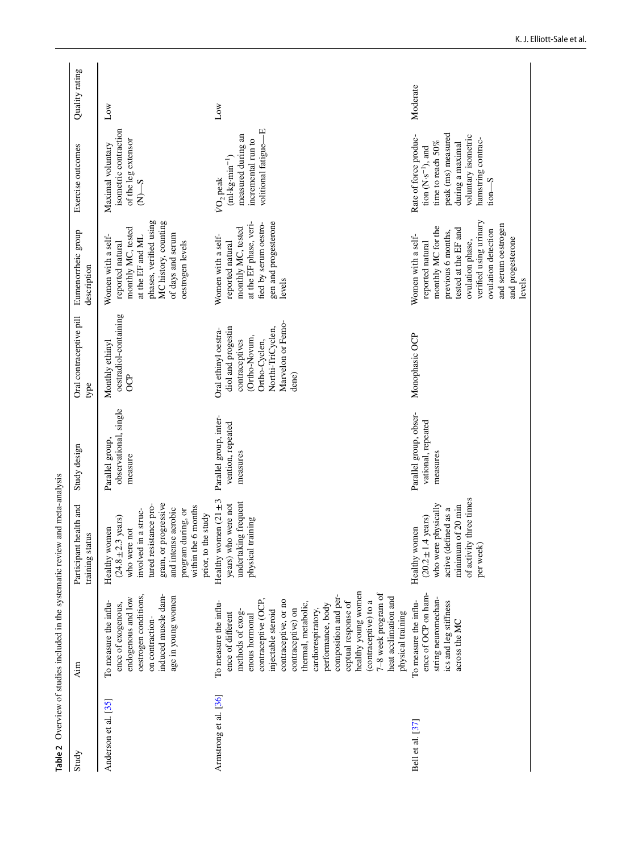<span id="page-5-0"></span>

| Study                 |                                                                                                                                                                                                                                                                                                                                                                                                                |                                                                                                                                                                                                                                     |                                                          |                                                                                                                                                   |                                                                                                                                                                                                                                      |                                                                                                                                                                                              |                 |
|-----------------------|----------------------------------------------------------------------------------------------------------------------------------------------------------------------------------------------------------------------------------------------------------------------------------------------------------------------------------------------------------------------------------------------------------------|-------------------------------------------------------------------------------------------------------------------------------------------------------------------------------------------------------------------------------------|----------------------------------------------------------|---------------------------------------------------------------------------------------------------------------------------------------------------|--------------------------------------------------------------------------------------------------------------------------------------------------------------------------------------------------------------------------------------|----------------------------------------------------------------------------------------------------------------------------------------------------------------------------------------------|-----------------|
|                       | Aim                                                                                                                                                                                                                                                                                                                                                                                                            | health and<br>training status<br>Participant                                                                                                                                                                                        | Study design                                             | Oral contraceptive pill<br>type                                                                                                                   | Eumenorrheic group<br>description                                                                                                                                                                                                    | Exercise outcomes                                                                                                                                                                            | Quality rating  |
| Anderson et al. [35]  | induced muscle dam-<br>oestrogen conditions,<br>age in young women<br>endogenous and low<br>To measure the influ-<br>ence of exogenous,<br>on contraction-                                                                                                                                                                                                                                                     | gram, or progressive<br>tured resistance pro-<br>within the 6 months<br>and intense aerobic<br>program during, or<br>involved in a struc-<br>prior, to the study<br>$(24.8 \pm 2.3 \text{ years})$<br>Healthy women<br>who were not | observational, single<br>Parallel group,<br>measure      | oestradiol-containing<br>Monthly ethinyl<br><b>CP</b>                                                                                             | phases, verified using<br>MC history, counting<br>monthly MC, tested<br>of days and serum<br>Women with a self-<br>at the EF and ML<br>oestrogen levels<br>reported natural                                                          | isometric contraction<br>of the leg extensor<br>Maximal voluntary<br>$S-N$                                                                                                                   | Low             |
| Armstrong et al. [36] | healthy young women<br>7-8 week program of<br>composition and per-<br>heat acclimation and<br>contraceptive (OCP,<br>contraceptive, or no<br>(contraceptive) to a<br>To measure the influ-<br>ceptual response of<br>thermal, metabolic,<br>performance, body<br>cardiorespiratory,<br>contraceptive) on<br>injectable steroid<br>methods of exog-<br>physical training<br>ence of different<br>enous hormonal | Healthy women $(21 \pm 3)$<br>undertaking frequent<br>years) who were not<br>physical training                                                                                                                                      | Parallel group, inter-<br>vention, repeated<br>measures  | Marvelon or Femo-<br>Northi-TriCyclen,<br>diol and progestin<br>Oral ethinyl oestra-<br>(Ortho-Novum,<br>contraceptives<br>Ortho-Cyclen,<br>dene) | at the EF phase, veri-<br>gen and progesterone<br>fied by serum oestro-<br>monthly MC, tested<br>Women with a self-<br>reported natural<br>levels                                                                                    | volitional fatigue-E<br>measured during an<br>incremental run to<br>$(ml \cdot kg \cdot min^{-1})$<br>VO <sub>2</sub> peak                                                                   | $_{\text{Low}}$ |
| Bell et al. [37]      | ence of OCP on ham-<br>string neuromechan-<br>To measure the influ-<br>ics and leg stiffness<br>across the MC                                                                                                                                                                                                                                                                                                  | of activity three times<br>who were physically<br>minimum of 20 min<br>active (defined as a<br>$(20.2 \pm 1.4 \text{ years})$<br>Healthy women<br>per week                                                                          | Parallel group, obser-<br>vational, repeated<br>measures | Monophasic OCP                                                                                                                                    | verified using urinary<br>and serum oestrogen<br>monthly MC for the<br>tested at the EF and<br>ovulation detection<br>previous 6 months,<br>Women with a self-<br>and progesterone<br>ovulation phase,<br>reported natural<br>levels | peak (ms) measured<br>Rate of force produc-<br>voluntary isometric<br>hamstring contrac-<br>time to reach 50%<br>during a maximal<br>tion $(N \cdot s^{-1})$ , and<br>$t$ <sub>on</sub> $-S$ | Moderate        |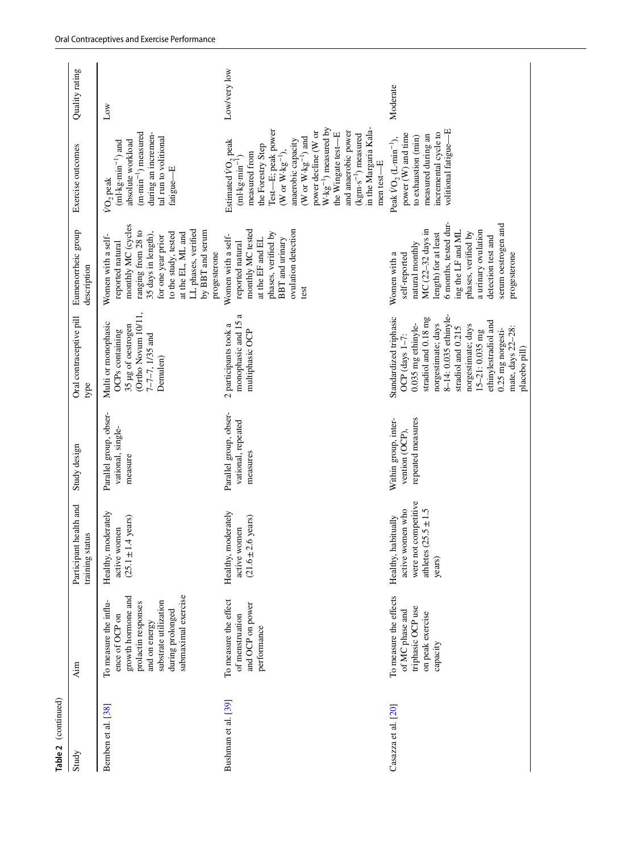| Table 2 (continued) |                                                                                                                                                                           |                                                                                                        |                                                             |                                                                                                                                                                                                                                                                                                |                                                                                                                                                                                                                                                        |                                                                                                                                                                                                                                                                                                                                                                                                    |                |
|---------------------|---------------------------------------------------------------------------------------------------------------------------------------------------------------------------|--------------------------------------------------------------------------------------------------------|-------------------------------------------------------------|------------------------------------------------------------------------------------------------------------------------------------------------------------------------------------------------------------------------------------------------------------------------------------------------|--------------------------------------------------------------------------------------------------------------------------------------------------------------------------------------------------------------------------------------------------------|----------------------------------------------------------------------------------------------------------------------------------------------------------------------------------------------------------------------------------------------------------------------------------------------------------------------------------------------------------------------------------------------------|----------------|
| Study               | Aim                                                                                                                                                                       | Participant health and<br>training status                                                              | Study design                                                | Oral contraceptive pill<br>type                                                                                                                                                                                                                                                                | Eumenorrheic group<br>description                                                                                                                                                                                                                      | Exercise outcomes                                                                                                                                                                                                                                                                                                                                                                                  | Quality rating |
| Bemben et al. [38]  | submaximal exercise<br>growth hormone and<br>substrate utilization<br>To measure the influ-<br>prolactin responses<br>during prolonged<br>ence of OCP on<br>and on energy | Healthy, moderately<br>.4 years)<br>active women<br>$(25.1 \pm 1)$                                     | Parallel group, obser-<br>vational, single-<br>measure      | (Ortho Novum 10/11,<br>Multi or monophasic<br>35 µg of oestrogen<br>OCPs containing<br>7-7-7, 1/35 and<br>Demulen)                                                                                                                                                                             | monthly MC (cycles<br>LL phases, verified<br>ranging from 28 to<br>by BBT and serum<br>to the study, tested<br>at the EL, ML and<br>35 days in length),<br>Women with a self-<br>for one year prior<br>reported natural<br>progesterone                | $(m \cdot min^{-1})$ measured<br>during an incremen-<br>tal run to volitional<br>absolute workload<br>$(ml \cdot kg \cdot min^{-1})$ and<br>fatigue-E<br>VO <sub>2</sub> peak                                                                                                                                                                                                                      | Low            |
| Bushman et al. [39] | To measure the effect<br>and OCP on power<br>of menstruation<br>performance                                                                                               | Healthy, moderately<br>.6 years)<br>active women<br>$(21.6 \pm 2)$                                     | Parallel group, obser-<br>vational, repeated<br>measures    | monophasic and 15 a<br>2 participants took a<br>multiphasic OCP                                                                                                                                                                                                                                | monthly MC tested<br>ovulation detection<br>phases, verified by<br>Women with a self-<br>at the EF and EL<br>BBT and urinary<br>reported natural<br>test                                                                                               | $W \cdot kg^{-1}$ ) measured by<br>in the Margaria Kala-<br>Test-E; peak power<br>power decline (W or<br>and anaerobic power<br>the Wingate test-E<br>(kgm-s <sup>-1</sup> ) measured<br>(W or $W \cdot kg^{-1}$ ) and<br>anaerobic capacity<br>Estimated VO <sub>2</sub> peak<br>the Forestry Step<br>(W or $W \cdot kg^{-1}$ ),<br>measured from<br>$(ml \cdot kg \cdot min^{-1})$<br>men test-E | Low/very low   |
| Casazza et al. [20] | To measure the effects<br>triphasic OCP use<br>of MC phase and<br>on peak exercise<br>capacity                                                                            | were not competitive<br>active women who<br>athletes $(25.5 \pm 1.5)$<br>Healthy, habitually<br>years) | Within group, inter-<br>repeated measures<br>vention (OCP), | 8-14: 0.035 ethinyle-<br>Standardized triphasic<br>stradiol and 0.18 mg<br>ethinylestradiol and<br>0.035 mg ethinyle-<br>norgestimate; days<br>norgestimate; days<br>stradiol and 0.215<br>mate, days 22-28:<br>0.25 mg norgesti-<br>$15 - 21: 0.035$ mg<br>OCP (days $1-7$ :<br>placebo pill) | 6 months, tested dur-<br>serum oestrogen and<br>MC (22-32 days in<br>ing the LF and ML<br>a urinary ovulation<br>phases, verified by<br>length) for at least<br>detection test and<br>natural monthly<br>self-reported<br>Women with a<br>progesterone | volitional fatigue-E<br>incremental cycle to<br>power (W) and time<br>measured during an<br>to exhaustion (min)<br>Peak VO, (L·min <sup>-1</sup> ),                                                                                                                                                                                                                                                | Moderate       |
|                     |                                                                                                                                                                           |                                                                                                        |                                                             |                                                                                                                                                                                                                                                                                                |                                                                                                                                                                                                                                                        |                                                                                                                                                                                                                                                                                                                                                                                                    |                |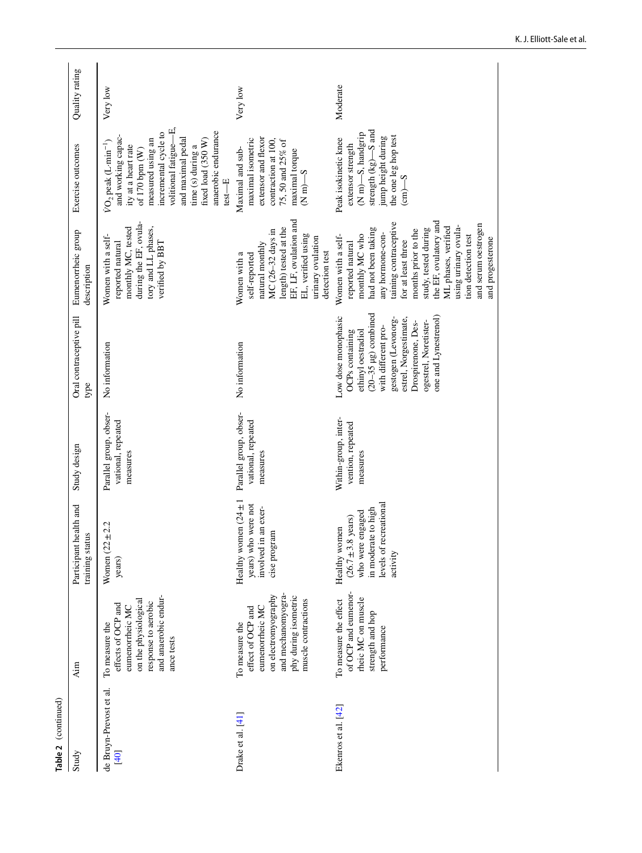| Table 2 (continued)             |                                                                                                                                                    |                                                                                                                                  |                                                          |                                                                                                                                                                                                                                                      |                                                                                                                                                                                                                                                                                                                                             |                                                                                                                                                                                                                                                                              |                |
|---------------------------------|----------------------------------------------------------------------------------------------------------------------------------------------------|----------------------------------------------------------------------------------------------------------------------------------|----------------------------------------------------------|------------------------------------------------------------------------------------------------------------------------------------------------------------------------------------------------------------------------------------------------------|---------------------------------------------------------------------------------------------------------------------------------------------------------------------------------------------------------------------------------------------------------------------------------------------------------------------------------------------|------------------------------------------------------------------------------------------------------------------------------------------------------------------------------------------------------------------------------------------------------------------------------|----------------|
| Study                           | Aim                                                                                                                                                | health and<br>training status<br>Participant                                                                                     | Study design                                             | Oral contraceptive pill<br>type                                                                                                                                                                                                                      | Eumenorrheic group<br>description                                                                                                                                                                                                                                                                                                           | Exercise outcomes                                                                                                                                                                                                                                                            | Quality rating |
| de Bruyn-Prevost et al.<br>[40] | and anaerobic endur-<br>on the physiological<br>response to aerobic<br>effects of OCP and<br>eumenorrheic MC<br>To measure the<br>ance tests       | ±2.2<br>Women $(22)$<br>years)                                                                                                   | Parallel group, obser-<br>vational, repeated<br>measures | No information                                                                                                                                                                                                                                       | during the EF, ovula-<br>monthly MC, tested<br>tory and LL phases,<br>Women with a self-<br>verified by BBT<br>reported natural                                                                                                                                                                                                             | volitional fatigue-E,<br>anaerobic endurance<br>incremental cycle to<br>and working capac-<br>measured using an<br>and maximal pedal<br>fixed load $(350 W)$<br>$VO$ , peak $(L·min^{-1})$<br>ity at a heart rate<br>time $(s)$ during a<br>of $170$ bpm $(W)$<br>$test - E$ | Very low       |
| Drake et al. $[41]$             | and mechanomyogra-<br>on electromyography<br>phy during isometric<br>muscle contractions<br>eumenorrheic MC<br>effect of OCP and<br>To measure the | Healthy women $(24 \pm 1)$<br>years) who were not<br>involved in an exer-<br>cise program                                        | Parallel group, obser-<br>vational, repeated<br>measures | No information                                                                                                                                                                                                                                       | EF, LF, ovulation and<br>length) tested at the<br>MC (26-32 days in<br>EL, verified using<br>urinary ovulation<br>natural monthly<br>detection test<br>Women with a<br>self-reported                                                                                                                                                        | extensor and flexor<br>maximal isometric<br>contraction at 100,<br>75, 50 and 25% of<br>Maximal and sub-<br>maximal torque<br>$(N \text{ m})$ -S                                                                                                                             | Very low       |
| Ekenros et al. [42]             | of OCP and eumenor-<br>rheic MC on muscle<br>To measure the effect<br>strength and hop<br>performance                                              | levels of recreational<br>in moderate to high<br>who were engaged<br>$(26.7 \pm 3.8 \text{ years})$<br>Healthy women<br>activity | Within-group, inter-<br>vention, repeated<br>measures    | $(20-35 \text{ }\mu\text{g})$ combined<br>one and Lynestrenol)<br>Low dose monophasic<br>gestogen (Levonorg-<br>estrel, Norgestimate,<br>Drospirenone, Des-<br>ogestrel, Noretister-<br>with different pro-<br>ethinyl oestradiol<br>OCPs containing | the EF, ovulatory and<br>taining contraceptive<br>and serum oestrogen<br>ML phases, verified<br>using urinary ovula-<br>had not been taking<br>study, tested during<br>months prior to the<br>any hormone-con-<br>monthly MC who<br>tion detection test<br>Women with a self-<br>and progesterone<br>for at least three<br>reported natural | strength $(kg)$ -S and<br>(N m)-S, handgrip<br>jump height during<br>the one leg hop test<br>Peak isokinetic knee<br>extensor strength<br>$\epsilon$ m $\sim$ S                                                                                                              | Moderate       |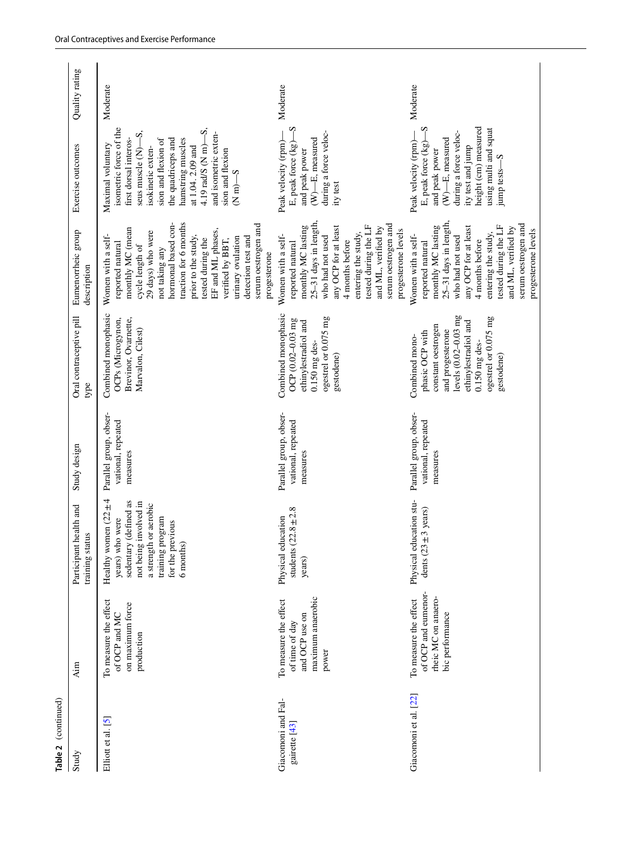| Table 2 (continued)                 |                                                                                         |                                                                                                                                                                               |                                                          |                                                                                                                                                                                      |                                                                                                                                                                                                                                                                                                                                             |                                                                                                                                                                                                                                                                                                                 |                |
|-------------------------------------|-----------------------------------------------------------------------------------------|-------------------------------------------------------------------------------------------------------------------------------------------------------------------------------|----------------------------------------------------------|--------------------------------------------------------------------------------------------------------------------------------------------------------------------------------------|---------------------------------------------------------------------------------------------------------------------------------------------------------------------------------------------------------------------------------------------------------------------------------------------------------------------------------------------|-----------------------------------------------------------------------------------------------------------------------------------------------------------------------------------------------------------------------------------------------------------------------------------------------------------------|----------------|
| Study                               | Aim                                                                                     | Participant health and<br>training status                                                                                                                                     | Study design                                             | Oral contraceptive pill<br>type                                                                                                                                                      | Eumenorrheic group<br>description                                                                                                                                                                                                                                                                                                           | Exercise outcomes                                                                                                                                                                                                                                                                                               | Quality rating |
| Elliott et al. [5]                  | To measure the effect<br>on maximum force<br>of OCP and MC<br>production                | Healthy women $(22 \pm 4)$<br>sedentary (defined as<br>not being involved in<br>a strength or aerobic<br>training program<br>years) who were<br>for the previous<br>6 months) | Parallel group, obser-<br>vational, repeated<br>measures | Combined monophasic<br>Brevinor, Ovarnette,<br>OCPs (Microgynon,<br>Marvalon, Cilest)                                                                                                | hormonal based con-<br>traction for 6 months<br>serum oestrogen and<br>monthly MC (mean<br>EF and ML phases,<br>29 days) who were<br>Women with a self-<br>prior to the study,<br>urinary ovulation<br>detection test and<br>tested during the<br>verified by BBT,<br>reported natural<br>cycle length of<br>not taking any<br>progesterone | ၯၨ<br>isometric force of the<br>ၯဴ<br>and isometric exten-<br>first dorsal interos-<br>sion and flexion of<br>hamstring muscles<br>the quadriceps and<br>Maximal voluntary<br>$4.19 \text{ rad/s}$ (N m)<br>at 1.04.2.09 and<br>seus muscle (N)-<br>isokinetic exten-<br>sion and flexion<br>$(N \text{ m})$ -S | Moderate       |
| Giacomoni and Fal-<br>gairette [43] | maximum anaerobic<br>To measure the effect<br>and OCP use on<br>of time of day<br>power | students $(22.8 \pm 2.8)$<br>Physical education<br>years)                                                                                                                     | Parallel group, obser-<br>vational, repeated<br>measures | Combined monophasic<br>ogestrel or 0.075 mg<br>OCP (0.02-0.03 mg<br>ethinylestradiol and<br>$0.150$ mg des-<br>gestodene)                                                            | 25-31 days in length,<br>serum oestrogen and<br>tested during the LF<br>monthly MC lasting<br>any OCP for at least<br>and ML, verified by<br>progesterone levels<br>entering the study,<br>Women with a self-<br>who had not used<br>4 months before<br>reported natural                                                                    | $\overline{S}$<br>during a force veloc-<br>(W)-E, measured<br>E, peak force (kg)-<br>Peak velocity (rpm)-<br>and peak power<br>ity test                                                                                                                                                                         | Moderate       |
| Giacomoni et al. [22]               | of OCP and eumenor-<br>rheic MC on anaero-<br>To measure the effect<br>bic performance  | Physical education stu-<br>dents $(23 \pm 3 \text{ years})$                                                                                                                   | Parallel group, obser-<br>vational, repeated<br>measures | levels (0.02-0.03 mg<br>ogestrel or 0.075 mg<br>ethinylestradiol and<br>constant oestrogen<br>and progesterone<br>phasic OCP with<br>Combined mono-<br>$0.150$ mg des-<br>gestodene) | 25-31 days in length,<br>serum oestrogen and<br>tested during the LF<br>monthly MC lasting<br>any OCP for at least<br>and ML, verified by<br>progesterone levels<br>entering the study,<br>Women with a self-<br>who had not used<br>4 months before<br>reported natural                                                                    | height (cm) measured<br>$\overline{S}$<br>using multi and squat<br>during a force veloc-<br>(W)-E, measured<br>E, peak force (kg)-<br>Peak velocity (rpm)<br>ity test and jump<br>and peak power<br>ၯ<br>jump tests-                                                                                            | Moderate       |
|                                     |                                                                                         |                                                                                                                                                                               |                                                          |                                                                                                                                                                                      |                                                                                                                                                                                                                                                                                                                                             |                                                                                                                                                                                                                                                                                                                 |                |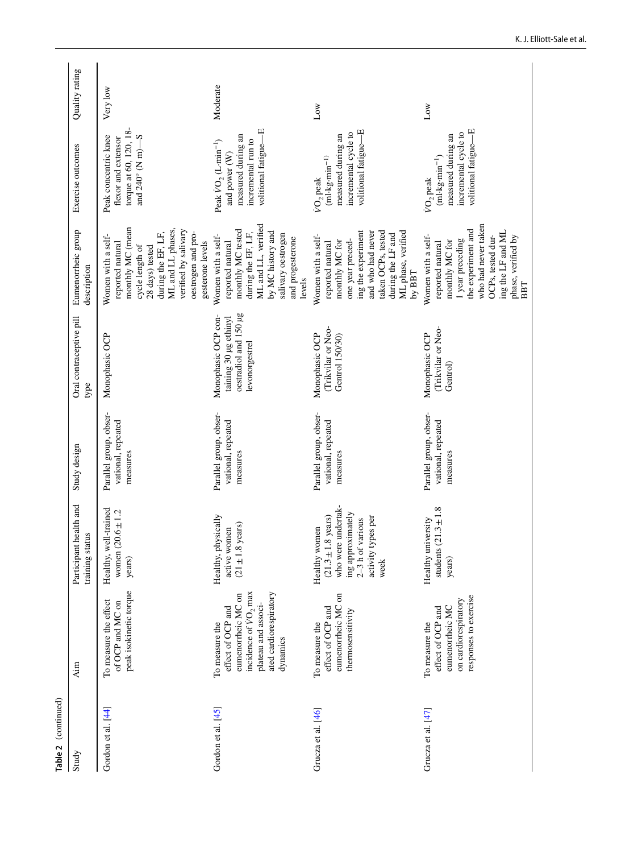| Table 2 (continued)  |                                                                                                                                                            |                                                                                                                                                |                                                          |                                                                                         |                                                                                                                                                                                                               |                                                                                                                              |                |
|----------------------|------------------------------------------------------------------------------------------------------------------------------------------------------------|------------------------------------------------------------------------------------------------------------------------------------------------|----------------------------------------------------------|-----------------------------------------------------------------------------------------|---------------------------------------------------------------------------------------------------------------------------------------------------------------------------------------------------------------|------------------------------------------------------------------------------------------------------------------------------|----------------|
| Study                | Aim                                                                                                                                                        | health and<br>training status<br>Participant                                                                                                   | Study design                                             | Oral contraceptive pill<br>type                                                         | Eumenorrheic group<br>description                                                                                                                                                                             | Exercise outcomes                                                                                                            | Quality rating |
| Gordon et al. [44]   | peak isokinetic torque<br>To measure the effect<br>of OCP and MC on                                                                                        | Healthy, well-trained<br>women $(20.6 \pm 1.2)$<br>years)                                                                                      | Parallel group, obser-<br>vational, repeated<br>measures | Monophasic OCP                                                                          | monthly MC (mean<br>ML and LL phases,<br>verified by salivary<br>during the EF, LF,<br>oestrogen and pro-<br>Women with a self-<br>gesterone levels<br>reported natural<br>cycle length of<br>28 days) tested | torque at 60, 120, 18-<br>Peak concentric knee<br>and 240° (N m)-S<br>flexor and extensor                                    | Very low       |
| Gordon et al. $[45]$ | incidence of VO <sub>2</sub> max<br>ated cardiorespiratory<br>eumenorrheic MC on<br>plateau and associ-<br>effect of OCP and<br>To measure the<br>dynamics | Healthy, physically<br>$(21 \pm 1.8 \text{ years})$<br>active women                                                                            | Parallel group, obser-<br>vational, repeated<br>measures | oestradiol and 150 µg<br>Monophasic OCP con-<br>taining 30 µg ethinyl<br>levonorgestrel | ML and LL, verified<br>monthly MC tested<br>by MC history and<br>during the EF, LF,<br>salivary oestrogen<br>Women with a self-<br>and progesterone<br>reported natural<br>levels                             | volitional fatigue-E<br>measured during an<br>incremental run to<br>Peak $VO_2$ (L-min <sup>-1</sup> )<br>and power (W)      | Moderate       |
| Grucza et al. [46]   | eumenorrheic MC on<br>effect of OCP and<br>thermosensitivity<br>To measure the                                                                             | who were undertak-<br>ing approximately<br>$(21.3 \pm 1.8 \text{ years})$<br>activity types per<br>$2-3$ h of various<br>Healthy women<br>week | Parallel group, obser-<br>vational, repeated<br>measures | (Trikvilar or Neo-<br>Monophasic OCP<br>Gentrol 150/30)                                 | ML phase, verified<br>ing the experiment<br>taken OCPs, tested<br>and who had never<br>during the LF and<br>Women with a self-<br>one year preced-<br>monthly MC for<br>reported natural<br>by $BBT$          | volitional fatigue-E<br>incremental cycle to<br>measured during an<br>$(ml \cdot kg \cdot min^{-1})$<br>VO <sub>2</sub> peak | Low            |
| Grucza et al. [47]   | responses to exercise<br>on cardiorespiratory<br>eumenorrheic MC<br>effect of OCP and<br>To measure the                                                    | students $(21.3 \pm 1.8)$<br>Healthy university<br>years)                                                                                      | Parallel group, obser-<br>vational, repeated<br>measures | (Trikvilar or Neo-<br>Monophasic OCP<br>Gentrol)                                        | who had never taken<br>the experiment and<br>ing the LF and ML<br>Women with a self-<br>OCPs, tested dur-<br>phase, verified by<br>1 year preceding<br>monthly MC for<br>reported natural<br>BBT              | volitional fatigue-E<br>incremental cycle to<br>measured during an<br>$(ml \cdot kg \cdot min^{-1})$<br>VO <sub>2</sub> peak | Low            |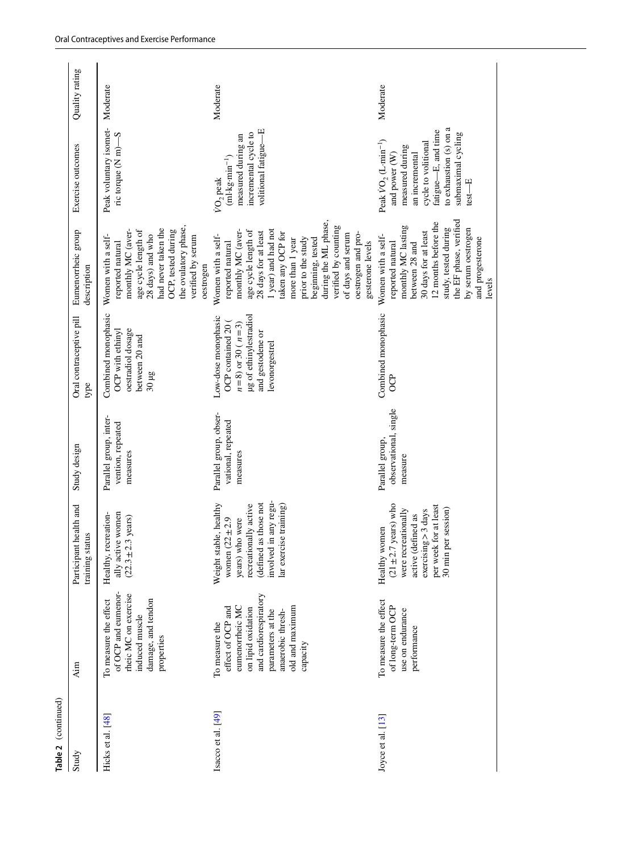| Table 2 (continued) |                                                                                                                                                                                |                                                                                                                                                                        |                                                          |                                                                                                                                    |                                                                                                                                                                                                                                                                                                                                      |                                                                                                                                                                                             |                |
|---------------------|--------------------------------------------------------------------------------------------------------------------------------------------------------------------------------|------------------------------------------------------------------------------------------------------------------------------------------------------------------------|----------------------------------------------------------|------------------------------------------------------------------------------------------------------------------------------------|--------------------------------------------------------------------------------------------------------------------------------------------------------------------------------------------------------------------------------------------------------------------------------------------------------------------------------------|---------------------------------------------------------------------------------------------------------------------------------------------------------------------------------------------|----------------|
| Study               | Aim                                                                                                                                                                            | Participant health and<br>training status                                                                                                                              | Study design                                             | Oral contraceptive pill<br>type                                                                                                    | Eumenorrheic group<br>description                                                                                                                                                                                                                                                                                                    | Exercise outcomes                                                                                                                                                                           | Quality rating |
| Hicks et al. [48]   | of OCP and eumenor-<br>rheic MC on exercise<br>damage, and tendon<br>To measure the effect<br>induced muscle<br>properties                                                     | ally active women<br>Healthy, recreation-<br>$(22.3 \pm 2.3 \text{ years})$                                                                                            | Parallel group, inter-<br>vention, repeated<br>measures  | Combined monophasic<br>oestradiol dosage<br>OCP with ethinyl<br>between 20 and<br>$30 \mu g$                                       | the ovulatory phase,<br>had never taken the<br>OCP, tested during<br>monthly MC (aver-<br>age cycle length of<br>28 days) and who<br>Women with a self-<br>verified by serum<br>reported natural<br>oestrogen                                                                                                                        | Peak voluntary isomet-<br>ric torque (N m)-S                                                                                                                                                | Moderate       |
| Isacco et al. [49]  | and cardiorespiratory<br>eumenorrheic MC<br>old and maximum<br>effect of OCP and<br>on lipid oxidation<br>parameters at the<br>anaerobic thresh-<br>To measure the<br>capacity | involved in any regu-<br>(defined as those not<br>Weight stable, healthy<br>recreationally active<br>lar exercise training)<br>women $(22 \pm 2.9)$<br>years) who were | Parallel group, obser-<br>vational, repeated<br>measures | ug of ethinylestradiol<br>Low-dose monophasic<br>$n=8$ ) or 30 ( $n=3$ )<br>OCP contained 20<br>and gestodene or<br>levonorgestrel | during the ML phase,<br>verified by counting<br>1 year) and had not<br>monthly MC (aver-<br>age cycle length of<br>28 days for at least<br>taken any OCP for<br>of days and serum<br>oestrogen and pro-<br>Women with a self-<br>prior to the study<br>beginning, tested<br>more than 1 year<br>reported natural<br>gesterone levels | volitional fatigue-E<br>incremental cycle to<br>measured during an<br>$(ml \cdot kg \cdot min^{-1})$<br>VO <sub>2</sub> peak                                                                | Moderate       |
| Joyce et al. [13]   | To measure the effect<br>of long-term OCP<br>use on endurance<br>performance                                                                                                   | $(21 \pm 2.7 \text{ years})$ who<br>per week for at least<br>exercises > 3 days<br>30 min per session)<br>were recreationally<br>active (defined as<br>Healthy women   | observational, single<br>Parallel group,<br>measure      | Combined monophasic<br>දි                                                                                                          | the EF phase, verified<br>12 months before the<br>monthly MC lasting<br>study, tested during<br>by serum oestrogen<br>30 days for at least<br>Women with a self-<br>and progesterone<br>reported natural<br>between 28 and<br>levels                                                                                                 | to exhaustion $(s)$ on a<br>fatigue-E, and time<br>submaximal cycling<br>Peak $VO_2(L·min^{-1})$<br>cycle to volitional<br>measured during<br>an incremental<br>and power (W)<br>$test - E$ | Moderate       |
|                     |                                                                                                                                                                                |                                                                                                                                                                        |                                                          |                                                                                                                                    |                                                                                                                                                                                                                                                                                                                                      |                                                                                                                                                                                             |                |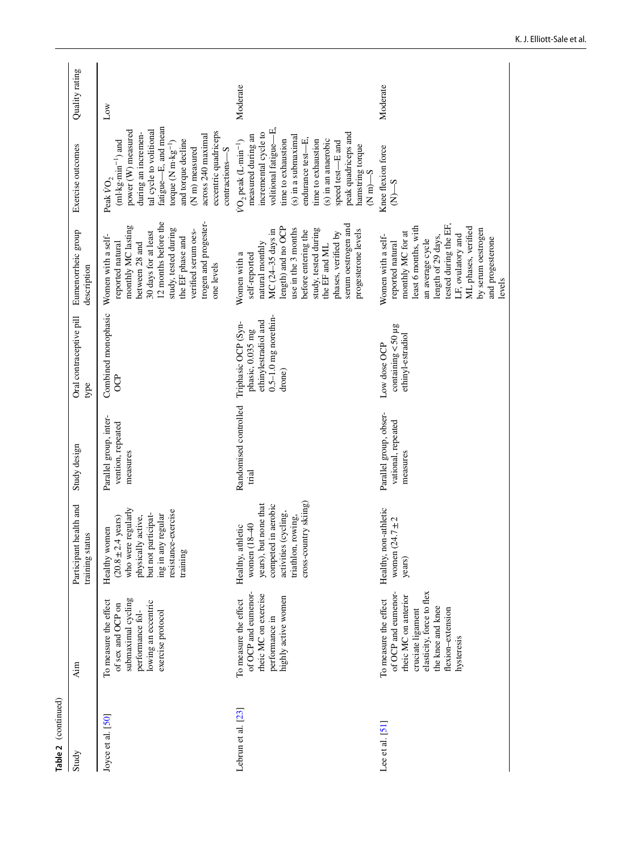| Table 2 (continued) |                                                                                                                                                                                |                                                                                                                                                                             |                                                          |                                                                                                       |                                                                                                                                                                                                                                                         |                                                                                                                                                                                                                                                                                                                         |                |
|---------------------|--------------------------------------------------------------------------------------------------------------------------------------------------------------------------------|-----------------------------------------------------------------------------------------------------------------------------------------------------------------------------|----------------------------------------------------------|-------------------------------------------------------------------------------------------------------|---------------------------------------------------------------------------------------------------------------------------------------------------------------------------------------------------------------------------------------------------------|-------------------------------------------------------------------------------------------------------------------------------------------------------------------------------------------------------------------------------------------------------------------------------------------------------------------------|----------------|
| Study               | Aim                                                                                                                                                                            | Participant health and<br>training status                                                                                                                                   | Study design                                             | Oral contraceptive pill<br>type                                                                       | Eumenorrheic group<br>description                                                                                                                                                                                                                       | Exercise outcomes                                                                                                                                                                                                                                                                                                       | Quality rating |
| Joyce et al. [50]   | submaximal cycling<br>To measure the effect<br>lowing an eccentric<br>of sex and OCP on<br>exercise protocol<br>performance fol-                                               | who were regularly<br>resistance-exercise<br>but not participat-<br>ing in any regular<br>physically active,<br>$(20.8 \pm 2.4 \text{ years})$<br>Healthy women<br>training | Parallel group, inter-<br>vention, repeated<br>measures  | Combined monophasic<br><b>OCP</b>                                                                     | 12 months before the<br>trogen and progester-<br>monthly MC lasting<br>study, tested during<br>verified serum oes-<br>30 days for at least<br>Women with a self-<br>the EF phase and<br>reported natural<br>between 28 and<br>one levels                | fatigue-E, and mean<br>tal cycle to volitional<br>power (W) measured<br>eccentric quadriceps<br>during an incremen-<br>across 240 maximal<br>and torque decline<br>$(ml \cdot kg \cdot min^{-1})$ and<br>torque $(N m \cdot kg^{-1})$<br>$(\mathrm{N}\ \mathrm{m})$ measured<br>contractions-S<br>Peak $\rm \dot{VO}_2$ | Δw             |
| Lebrun et al. [23]  | of OCP and eumenor-<br>rheic MC on exercise<br>highly active women<br>To measure the effect<br>performance in                                                                  | cross-country skiing)<br>competed in aerobic<br>years), but none that<br>activities (cycling,<br>triathlon, rowing,<br>women (18-40<br>Healthy, athletic                    | Randomised controlled<br>trial                           | $0.5 - 1.0$ mg norethin-<br>ethinylestradiol and<br>Triphasic OCP (Syn-<br>phasic, 0.035 mg<br>drone) | serum oestrogen and<br>length) and no OCP<br>study, tested during<br>use in the 3 months<br>MC (24-35 days in<br>progesterone levels<br>before entering the<br>phases, verified by<br>natural monthly<br>the EF and ML<br>Women with a<br>self-reported | volitional fatigue-E,<br>incremental cycle to<br>peak quadriceps and<br>measured during an<br>(s) in a submaximal<br>endurance test-E,<br>$(s)$ in an anaerobic<br>time to exhaustion<br>time to exhaustion<br>$VO2$ peak (L-min <sup>-1</sup> )<br>speed test-E and<br>hamstring torque<br>$S-wN$                      | Moderate       |
| Lee et al. $[51]$   | elasticity, force to flex<br>of OCP and eumenor-<br>rheic MC on anterior<br>To measure the effect<br>the knee and knee<br>flexion-extension<br>cruciate ligament<br>hysteresis | Healthy, non-athletic<br>women $(24.7 \pm 2)$<br>years)                                                                                                                     | Parallel group, obser-<br>vational, repeated<br>measures | $containing < 50 \mu$ g<br>ethinyl-estradiol<br>Low dose OCP                                          | tested during the EF,<br>least 6 months, with<br>ML phases, verified<br>by serum oestrogen<br>monthly MC for at<br>LF, ovulatory and<br>length of 29 days,<br>Women with a self-<br>and progesterone<br>an average cycle<br>reported natural<br>levels  | Knee flexion force<br>$S-A$                                                                                                                                                                                                                                                                                             | Moderate       |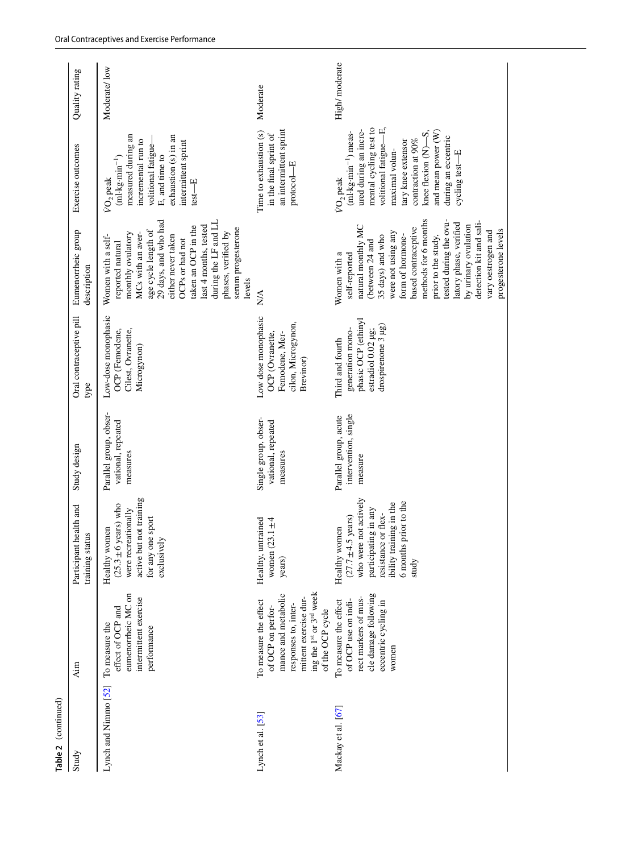| Table 2 (continued)             |                                                                                                                                                                   |                                                                                                                                                                                      |                                                          |                                                                                                         |                                                                                                                                                                                                                                                                                                                                                                |                                                                                                                                                                                                                                                                                                   |                |
|---------------------------------|-------------------------------------------------------------------------------------------------------------------------------------------------------------------|--------------------------------------------------------------------------------------------------------------------------------------------------------------------------------------|----------------------------------------------------------|---------------------------------------------------------------------------------------------------------|----------------------------------------------------------------------------------------------------------------------------------------------------------------------------------------------------------------------------------------------------------------------------------------------------------------------------------------------------------------|---------------------------------------------------------------------------------------------------------------------------------------------------------------------------------------------------------------------------------------------------------------------------------------------------|----------------|
| Study                           | Aim                                                                                                                                                               | health and<br>training status<br>Participant                                                                                                                                         | Study design                                             | Oral contraceptive pill<br>type                                                                         | Eumenorrheic group<br>description                                                                                                                                                                                                                                                                                                                              | Exercise outcomes                                                                                                                                                                                                                                                                                 | Quality rating |
| Lynch and Nimmo <sup>[52]</sup> | eumenorrheic MC on<br>intermittent exercise<br>effect of OCP and<br>To measure the<br>performance                                                                 | active but not training<br>$(25.3 \pm 6 \text{ years})$ who<br>were recreationally<br>for any one sport<br>Healthy women<br>exclusively                                              | Parallel group, obser-<br>vational, repeated<br>measures | Low-dose monophasic<br>Cilest, Ovranette,<br>OCP (Femodene,<br>Microgynon)                              | during the LF and LL<br>29 days, and who had<br>last 4 months, tested<br>taken an OCP in the<br>serum progesterone<br>age cycle length of<br>phases, verified by<br>monthly ovulatory<br>MCs with an aver-<br>Women with a self-<br>either never taken<br>OCPs or had not<br>reported natural<br>levels                                                        | measured during an<br>exhaustion (s) in an<br>incremental run to<br>intermittent sprint<br>volitional fatigue-<br>E, and time to<br>$(ml \cdot kg \cdot min^{-1})$<br>VO <sub>2</sub> peak<br>$test - E$                                                                                          | Moderate/low   |
| Lynch et al. [53]               | ing the 1st or 3rd week<br>mance and metabolic<br>mittent exercise dur-<br>To measure the effect<br>responses to, inter-<br>of OCP on perfor-<br>of the OCP cycle | women $(23.1 \pm 4)$<br>Healthy, untrained<br>years)                                                                                                                                 | Single group, obser-<br>vational, repeated<br>measures   | Low dose monophasic<br>cilon, Microgynon,<br>OCP (Ovranette,<br>Femodene, Mer-<br>Brevinor)             | ΝA                                                                                                                                                                                                                                                                                                                                                             | an intermittent sprint<br>Time to exhaustion (s)<br>in the final sprint of<br>$proto co-l-E$                                                                                                                                                                                                      | Moderate       |
| Mackay et al. [67]              | cle damage following<br>rect markers of mus-<br>of OCP use on indi-<br>eccentric cycling in<br>To measure the effect<br>women                                     | who were not actively<br>6 months prior to the<br>ibility training in the<br>participating in any<br>resistance or flex-<br>$(27.7 \pm 4.5 \text{ years})$<br>Healthy women<br>study | intervention, single<br>Parallel group, acute<br>measure | phasic OCP (ethinyl<br>drospirenone 3 µg)<br>generation mono-<br>estradiol 0.02 µg;<br>Third and fourth | methods for 6 months<br>tested during the ovu-<br>detection kit and sali-<br>latory phase, verified<br>by urinary ovulation<br>natural monthly MC<br>based contraceptive<br>progesterone levels<br>vary oestrogen and<br>were not using any<br>prior to the study,<br>form of hormone-<br>35 days) and who<br>(between 24 and<br>Women with a<br>self-reported | mental cycling test to<br>volitional fatigue-E,<br>ured during an incre-<br>and mean power (W)<br>$(ml \cdot kg \cdot min^{-1})$ meas-<br>knee flexion $(N) - S$ .<br>during an eccentric<br>contraction at 90%<br>tary knee extensor<br>maximal volun-<br>cycling test-E<br>VO <sub>2</sub> peak | High/moderate  |
|                                 |                                                                                                                                                                   |                                                                                                                                                                                      |                                                          |                                                                                                         |                                                                                                                                                                                                                                                                                                                                                                |                                                                                                                                                                                                                                                                                                   |                |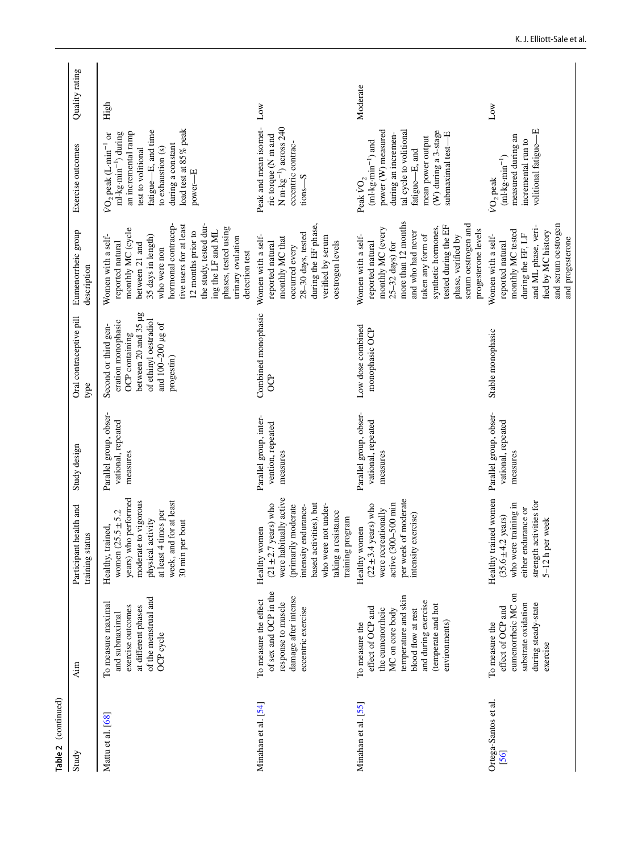| Table 2 (continued)        |                                                                                                                                                                                        |                                                                                                                                                                                                                        |                                                          |                                                                                                                                                  |                                                                                                                                                                                                                                                                                                           |                                                                                                                                                                                                                          |                |
|----------------------------|----------------------------------------------------------------------------------------------------------------------------------------------------------------------------------------|------------------------------------------------------------------------------------------------------------------------------------------------------------------------------------------------------------------------|----------------------------------------------------------|--------------------------------------------------------------------------------------------------------------------------------------------------|-----------------------------------------------------------------------------------------------------------------------------------------------------------------------------------------------------------------------------------------------------------------------------------------------------------|--------------------------------------------------------------------------------------------------------------------------------------------------------------------------------------------------------------------------|----------------|
| Study                      | Aim                                                                                                                                                                                    | Participant health and<br>training status                                                                                                                                                                              | Study design                                             | Oral contraceptive pill<br>type                                                                                                                  | Eumenorrheic group<br>description                                                                                                                                                                                                                                                                         | Exercise outcomes                                                                                                                                                                                                        | Quality rating |
| Mattu et al. [68]          | of the menstrual and<br>To measure maximal<br>at different phases<br>exercise outcomes<br>and submaximal<br>OCP cycle                                                                  | years) who performed<br>week, and for at least<br>moderate to vigorous<br>at least 4 times per<br>women $(25.5 \pm 5.2)$<br>physical activity<br>30 min per bout<br>Healthy, trained,                                  | Parallel group, obser-<br>vational, repeated<br>measures | between 20 and 35 µg<br>of ethinyl oestradiol<br>eration monophasic<br>and 100-200 µg of<br>Second or third gen-<br>OCP containing<br>progestin) | hormonal contracep-<br>tive users for at least<br>the study, tested dur-<br>phases, tested using<br>monthly MC (cycle<br>12 months prior to<br>ing the LF and ML<br>35 days in length)<br>Women with a self-<br>urinary ovulation<br>reported natural<br>between 21 and<br>who were non<br>detection test | load test at 85% peak<br>fatigue-E, and time<br>an incremental ramp<br>ml·kg·min <sup>-1</sup> ) during<br>$VO2$ peak (L-min <sup>-1</sup> or<br>during a constant<br>to exhaustion (s)<br>test to volitional<br>power-E | High           |
| Minahan et al. [54]        | of sex and OCP in the<br>damage after intense<br>To measure the effect<br>response to muscle<br>eccentric exercise                                                                     | were habitually active<br>based activities), but<br>$(21 \pm 2.7 \text{ years})$ who<br>who were not under-<br>(primarily moderate<br>intensity endurance-<br>taking a resistance<br>training program<br>Healthy women | Parallel group, inter-<br>vention, repeated<br>measures  | Combined monophasic<br>පි                                                                                                                        | during the EF phase,<br>28-30 days, tested<br>Women with a self-<br>verified by serum<br>monthly MC that<br>oestrogen levels<br>reported natural<br>occurred every                                                                                                                                        | Peak and mean isomet-<br>$N$ m $\cdot$ kg <sup>-1</sup> ) across 240<br>ric torque (N m and<br>eccentric contrac-<br>$tions-S$                                                                                           | Low            |
| Minahan et al. [55]        | temperature and skin<br>and during exercise<br>(temperate and hot<br>effect of OCP and<br>MC on core body<br>blood flow at rest<br>the eumenorrheic<br>environments)<br>To measure the | per week of moderate<br>active (300-500 min<br>$(22 \pm 3.4 \text{ years})$ who<br>were recreationally<br>exercise)<br>Healthy women<br>intensity                                                                      | Parallel group, obser-<br>vational, repeated<br>measures | Low dose combined<br>monophasic OCP                                                                                                              | more than 12 months<br>serum oestrogen and<br>tested during the EF<br>synthetic hormones,<br>monthly MC (every<br>progesterone levels<br>and who had never<br>taken any form of<br>phase, verified by<br>Women with a self-<br>$25-32$ days) for<br>reported natural                                      | tal cycle to volitional<br>power (W) measured<br>(W) during a 3-stage<br>submaximal test-E<br>during an incremen-<br>mean power output<br>$(ml \cdot kg \cdot min^{-1})$ and<br>fatigue-E, and<br>Peak $\rm \dot{VO}_2$  | Moderate       |
| Ortega-Santos et al.<br>56 | eumenorrheic MC on<br>during steady-state<br>substrate oxidation<br>effect of OCP and<br>To measure the<br>exercise                                                                    | Healthy trained women<br>strength activities for<br>who were training in<br>either endurance or<br>$(35.6 \pm 4.2 \text{ years})$<br>5-12 h per week                                                                   | Parallel group, obser-<br>vational, repeated<br>measures | Stable monophasic                                                                                                                                | and serum oestrogen<br>and ML phase, veri-<br>monthly MC tested<br>fied by MC history<br>during the EF, LF<br>Women with a self-<br>and progesterone<br>reported natural                                                                                                                                  | volitional fatigue-E<br>measured during an<br>incremental run to<br>$(\mathrm{ml\text{-}kg\text{-}min}^{-1})$<br>VO <sub>2</sub> peak                                                                                    | Low            |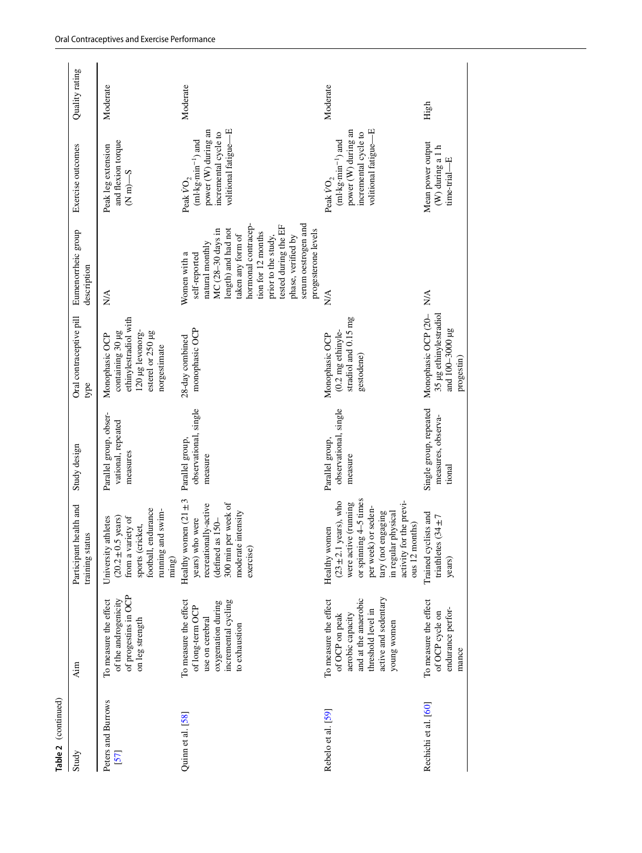| Table 2 (continued)      |                                                                                                                                                  |                                                                                                                                                                                                                |                                                          |                                                                                                                      |                                                                                                                                                                                                                                                                                   |                                                                                                                                                 |                |
|--------------------------|--------------------------------------------------------------------------------------------------------------------------------------------------|----------------------------------------------------------------------------------------------------------------------------------------------------------------------------------------------------------------|----------------------------------------------------------|----------------------------------------------------------------------------------------------------------------------|-----------------------------------------------------------------------------------------------------------------------------------------------------------------------------------------------------------------------------------------------------------------------------------|-------------------------------------------------------------------------------------------------------------------------------------------------|----------------|
| Study                    | Aim                                                                                                                                              | Participant health and<br>training status                                                                                                                                                                      | Study design                                             | Oral contraceptive pill<br>type                                                                                      | Eumenorrheic group<br>description                                                                                                                                                                                                                                                 | Exercise outcomes                                                                                                                               | Quality rating |
| Peters and Burrows<br>57 | of progestins in OCP<br>of the androgenicity<br>To measure the effect<br>on leg strength                                                         | football, endurance<br>running and swim-<br>.5 years)<br>athletes<br>from a variety of<br>sports (cricket,<br>University<br>$(20.2 \pm 0)$<br>ming)                                                            | Parallel group, obser-<br>vational, repeated<br>measures | ethinylestradiol with<br>containing 30 µg<br>120 µg levonorg-<br>esterel or 250 µg<br>Monophasic OCP<br>norgestimate | $N\mathcal{A}$                                                                                                                                                                                                                                                                    | and flexion torque<br>Peak leg extension<br>$(Nm) - S$                                                                                          | Moderate       |
| Quinn et al. [58]        | incremental cycling<br>To measure the effect<br>oxygenation during<br>of long-term OCP<br>use on cerebral<br>to exhaustion                       | Healthy women $(21 \pm 3)$<br>300 min per week of<br>recreationally-active<br>moderate intensity<br>years) who were<br>(defined as 150-<br>exercise)                                                           | observational, single<br>Parallel group,<br>measure      | monophasic OCP<br>28-day combined                                                                                    | serum oestrogen and<br>hormonal contracep-<br>tested during the EF<br>MC (28-30 days in<br>length) and had not<br>progesterone levels<br>tion for 12 months<br>taken any form of<br>phase, verified by<br>prior to the study,<br>natural monthly<br>Women with a<br>self-reported | volitional fatigue—E<br>power (W) during an<br>incremental cycle to<br>$\mbox{(ml-kg-min}^{-1})$ and<br>Peak $\rm \dot{VO}_2$                   | Moderate       |
| Rebelo et al. [59]       | active and sedentary<br>and at the anaerobic<br>To measure the effect<br>threshold level in<br>aerobic capacity<br>of OCP on peak<br>young women | or spinning $4-5$ times<br>$(23 \pm 2.1$ years), who<br>activity for the previ-<br>were active (running<br>per week) or seden-<br>tary (not engaging<br>in regular physical<br>ous 12 months)<br>Healthy women | observational, single<br>Parallel group,<br>measure      | stradiol and 0.15 mg<br>$(0.2 \text{ mg ethinyle-}$<br>Monophasic OCP<br>gestodene)                                  | $\stackrel{\triangle}{\geq}$                                                                                                                                                                                                                                                      | power (W) during an<br>volitional fatigue-E<br>incremental cycle to<br>$({\rm ml}\cdot{\rm kg}\cdot{\rm min}^{-1})$ and<br>Peak $\mathrm{VO}_2$ | Moderate       |
| Rechichi et al. [60]     | To measure the effect<br>endurance perfor-<br>of OCP cycle on<br>mance                                                                           | Trained cyclists and<br>triathletes $(34 \pm 7)$<br>years)                                                                                                                                                     | Single group, repeated<br>measures, observa-<br>tional   | 35 µg ethinylestradiol<br>Monophasic OCP (20-<br>and 100-3000 µg<br>progestin)                                       | $\stackrel{\triangle}{\approx}$                                                                                                                                                                                                                                                   | Mean power output<br>$(\mathbf{W})$ during a $1$ h<br>뛰<br>time-trial-                                                                          | High           |
|                          |                                                                                                                                                  |                                                                                                                                                                                                                |                                                          |                                                                                                                      |                                                                                                                                                                                                                                                                                   |                                                                                                                                                 |                |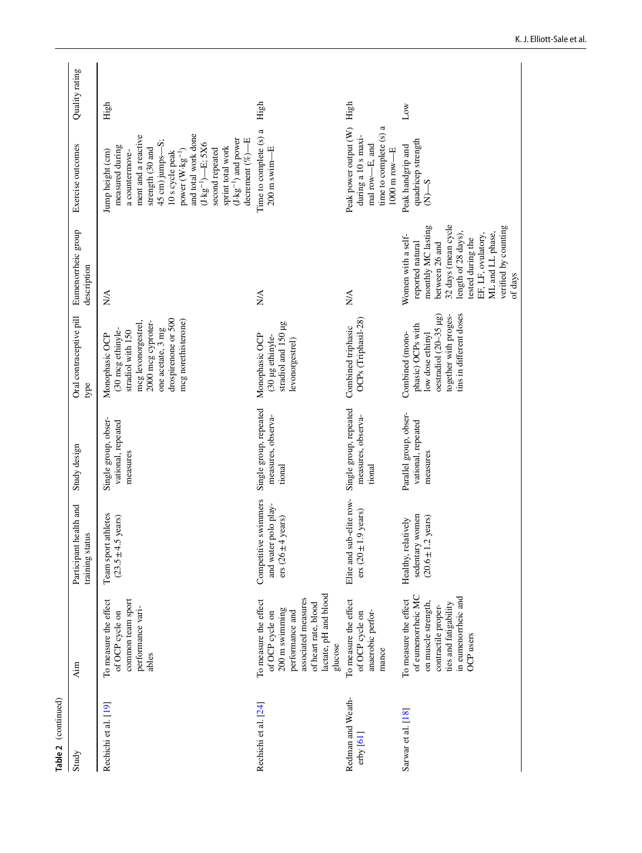| Table 2 (continued)            |                                                                                                                                                                  |                                                                                |                                                          |                                                                                                                                                                          |                                                                                                                                                                                                                                |                                                                                                                                                                                                                                                                                                                                 |                 |
|--------------------------------|------------------------------------------------------------------------------------------------------------------------------------------------------------------|--------------------------------------------------------------------------------|----------------------------------------------------------|--------------------------------------------------------------------------------------------------------------------------------------------------------------------------|--------------------------------------------------------------------------------------------------------------------------------------------------------------------------------------------------------------------------------|---------------------------------------------------------------------------------------------------------------------------------------------------------------------------------------------------------------------------------------------------------------------------------------------------------------------------------|-----------------|
| Study                          | Aim                                                                                                                                                              | Participant health and<br>training status                                      | Study design                                             | Oral contraceptive pill<br>type                                                                                                                                          | Eumenorrheic group<br>description                                                                                                                                                                                              | Exercise outcomes                                                                                                                                                                                                                                                                                                               | Quality rating  |
| Rechichi et al. [19]           | common team sport<br>To measure the effect<br>performance vari-<br>of OCP cycle on<br>ables                                                                      | athletes<br>$(23.5 \pm 4.5 \text{ years})$<br>Team sport                       | Single group, obser-<br>vational, repeated<br>measures   | drospirenone or 500<br>mcg norethisterone)<br>2000 mcg cyproter-<br>mcg levonorgestrel,<br>one acetate, 3 mg<br>(30 mcg ethinyle-<br>stradiol with 150<br>Monophasic OCP | $\sum_{i=1}^{n}$                                                                                                                                                                                                               | and total work done<br>ment and a reactive<br>$(J \cdot kg^{-1})$ and power<br>decrement $(\%$ ) $-E$<br>45 cm) jumps-S;<br>$(J \cdot kg^{-1})$ - E; 5X6<br>measured during<br>strength (30 and<br>sprint total work<br>second repeated<br>power (W-kg <sup>-1</sup> )<br>Jump height (cm)<br>a countermove-<br>10 s cycle peak | High            |
| Rechichi et al. [24]           | lactate, pH and blood<br>associated measures<br>To measure the effect<br>of heart rate, blood<br>200 m swimming<br>performance and<br>of OCP cycle on<br>glucose | Competitive swimmers<br>and water polo play-<br>ers $(26 \pm 4 \text{ years})$ | Single group, repeated<br>measures, observa-<br>tional   | stradiol and 150 µg<br>Monophasic OCP<br>(30 µg ethinyle-<br>levonorgestrel)                                                                                             | $\stackrel{\triangle}{\approx}$                                                                                                                                                                                                | Time to complete (s) a<br>$200$ m swim $-E$                                                                                                                                                                                                                                                                                     | High            |
| Redman and Weath-<br>erby [61] | To measure the effect<br>anaerobic perfor-<br>of OCP cycle on<br>mance                                                                                           | Elite and sub-elite row-<br>1.9 years)<br>ers $(20 \pm$                        | Single group, repeated<br>measures, observa-<br>tional   | OCPs (Triphasil-28)<br>Combined triphasic                                                                                                                                | $\stackrel{\triangle}{\scriptstyle\sim}$                                                                                                                                                                                       | time to complete (s) a<br>Peak power output (W)<br>during a 10 s maxi-<br>mal row-E, and<br>$1000$ m row $-E$                                                                                                                                                                                                                   | High            |
| Sarwar et al. [18]             | of eumenorrheic MC<br>in eumenorrheic and<br>To measure the effect<br>on muscle strength,<br>ties and fatigability<br>contractile proper-<br>OCP users           | sedentary women<br>$(20.6 \pm 1.2 \text{ years})$<br>Healthy, relatively       | Parallel group, obser-<br>vational, repeated<br>measures | tins in different doses<br>oestradiol $(20-35 \mu g)$<br>together with proges-<br>phasic) OCPs with<br>Combined (mono-<br>low dose ethinyl                               | 32 days (mean cycle<br>monthly MC lasting<br>verified by counting<br>ML and LL phase,<br>length of 28 days),<br>EF, LF, ovulatory,<br>Women with a self-<br>tested during the<br>between 26 and<br>reported natural<br>of days | quadricep strength<br>Peak handgrip and<br>$S-N$                                                                                                                                                                                                                                                                                | $_{\text{Low}}$ |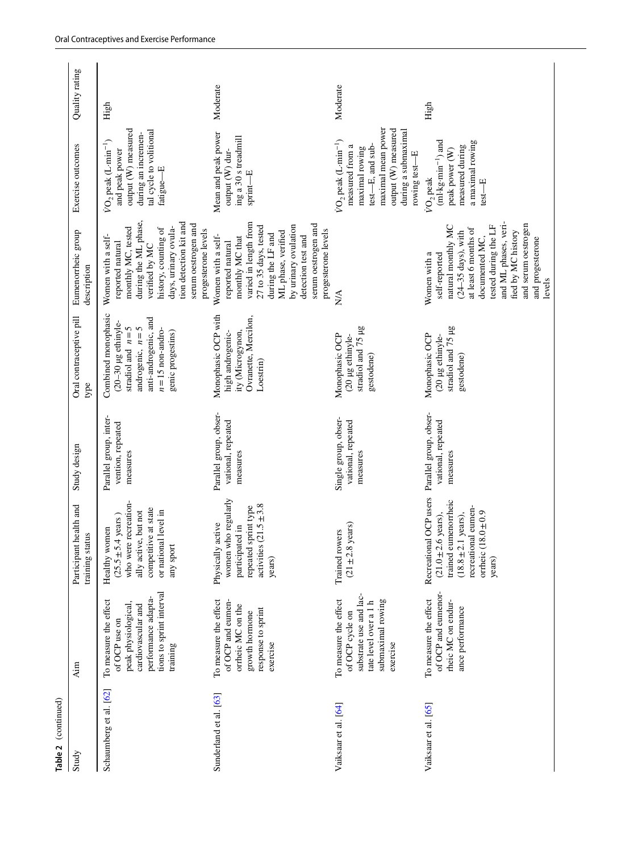| Table 2 (continued)    | Aim                                                                                                                                                | Participant health and                                                                                                                                                    | Study design                                             | Oral contraceptive pill                                                                                                                                 | Eumenorrheic group                                                                                                                                                                                                                                        | Exercise outcomes                                                                                                                                                               | Quality rating |
|------------------------|----------------------------------------------------------------------------------------------------------------------------------------------------|---------------------------------------------------------------------------------------------------------------------------------------------------------------------------|----------------------------------------------------------|---------------------------------------------------------------------------------------------------------------------------------------------------------|-----------------------------------------------------------------------------------------------------------------------------------------------------------------------------------------------------------------------------------------------------------|---------------------------------------------------------------------------------------------------------------------------------------------------------------------------------|----------------|
|                        |                                                                                                                                                    | training status                                                                                                                                                           |                                                          | type                                                                                                                                                    | description                                                                                                                                                                                                                                               |                                                                                                                                                                                 |                |
| Schaumberg et al. [62] | tions to sprint interval<br>performance adapta-<br>To measure the effect<br>peak physiological,<br>cardiovascular and<br>of OCP use on<br>training | who were recreation-<br>competitive at state<br>or national level in<br>ally active, but not<br>$(25.5 \pm 5.4 \text{ years})$<br>Healthy women<br>any sport              | Parallel group, inter-<br>vention, repeated<br>measures  | Combined monophasic<br>anti-androgenic, and<br>(20-30 µg ethinyle-<br>androgenic, $n=5$<br>stradiol and $n=5$<br>$n=15$ non-andro-<br>genic progestins) | during the ML phase,<br>tion detection kit and<br>serum oestrogen and<br>days, urinary ovula-<br>monthly MC, tested<br>history, counting of<br>progesterone levels<br>Women with a self-<br>reported natural<br>verified by MC                            | output (W) measured<br>tal cycle to volitional<br>during an incremen-<br>$VO2$ peak (L-min <sup>-1</sup> )<br>and peak power<br>fatigue-E                                       | High           |
| Sunderland et al. [63] | To measure the effect<br>of OCP and eumen-<br>orrheic MC on the<br>response to sprint<br>growth hormone<br>exercise                                | women who regularly<br>activities $(21.5 \pm 3.8)$<br>repeated sprint type<br>active<br>participated in<br>Physically<br>years)                                           | Parallel group, obser-<br>vational, repeated<br>measures | Monophasic OCP with<br>Ovranette, Mercilon,<br>high androgenic-<br>ity (Microgynon,<br>Loestrin)                                                        | varied in length from<br>serum oestrogen and<br>by urinary ovulation<br>27 to 35 days, tested<br>ML phase, verified<br>progesterone levels<br>during the LF and<br>Women with a self-<br>detection test and<br>monthly MC that<br>reported natural        | Mean and peak power<br>ing a 30 s treadmill<br>sprint—E<br>output (W) dur-                                                                                                      | Moderate       |
| Vaiksaar et al. [64]   | substrate use and lac-<br>To measure the effect<br>submaximal rowing<br>tate level over a 1 h<br>of OCP cycle on<br>exercise                       | s years)<br>Trained rowers<br>$(21 \pm 2.8)$                                                                                                                              | Single group, obser-<br>vational, repeated<br>measures   | stradiol and 75 µg<br>Monophasic OCP<br>(20 µg ethinyle-<br>gestodene)                                                                                  | ₿                                                                                                                                                                                                                                                         | maximal mean power<br>output (W) measured<br>during a submaximal<br>$VO2$ peak (L-min <sup>-1</sup> )<br>test-E, and sub-<br>measured from a<br>maximal rowing<br>rowing test-E | Moderate       |
| Vaiksaar et al. [65]   | of OCP and eumenor-<br>To measure the effect<br>rheic MC on endur-<br>ance performance                                                             | Recreational OCP users<br>trained eumenorrheic<br>recreational eumen-<br>$(18.8 \pm 2.1$ years),<br>orrheic $(18.0 \pm 0.9)$<br>$(21.0 \pm 2.6 \text{ years}).$<br>years) | Parallel group, obser-<br>vational, repeated<br>measures | stradiol and 75 µg<br>Monophasic OCP<br>(20 µg ethinyle-<br>gestodene)                                                                                  | and ML phases, veri-<br>and serum oestrogen<br>tested during the LF<br>natural monthly MC<br>at least 6 months of<br>fied by MC history<br>$(24-35 \text{ days})$ , with<br>documented MC,<br>and progesterone<br>Women with a<br>self-reported<br>levels | $(ml \cdot kg \cdot min^{-1})$ and<br>a maximal rowing<br>measured during<br>peak power (W)<br>VO <sub>2</sub> peak<br>$test - E$                                               | High           |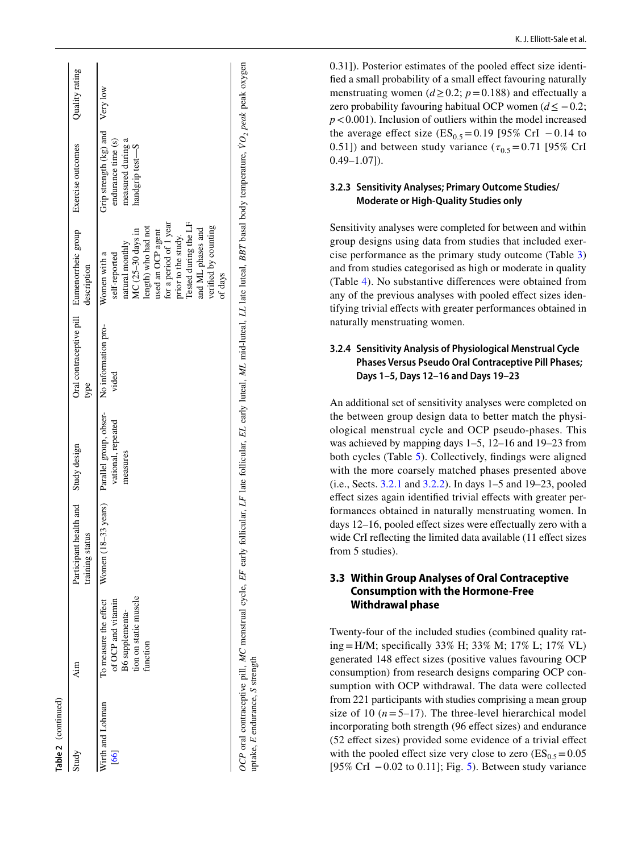| Table 2 (continued)      |                                                                            |                                                                                                |                                |       |                                                                                                                                                                                                                                                    |                                                                                                 |                |
|--------------------------|----------------------------------------------------------------------------|------------------------------------------------------------------------------------------------|--------------------------------|-------|----------------------------------------------------------------------------------------------------------------------------------------------------------------------------------------------------------------------------------------------------|-------------------------------------------------------------------------------------------------|----------------|
| Study                    | Aim                                                                        | Participant health and Study design<br>training status                                         |                                | type  | Oral contraceptive pill Eumenorrheic group Exercise outcomes<br>description                                                                                                                                                                        |                                                                                                 | Quality rating |
| Wirth and Lohman<br>[66] | tion on static muscle<br>of OCP and vitamin<br>B6 supplementa-<br>function | To measure the effect Women $(18-33 \text{ years})$ Parallel group, obser- No information pro- | vational, repeated<br>measures | vided | for a period of 1 year<br>Tested during the LF<br>length) who had not<br>verified by counting<br>and ML phases and<br>MC (25-30 days in<br>used an OCP agent<br>prior to the study.<br>natural monthly<br>Women with a<br>self-reported<br>of days | Grip strength $(kg)$ and Very low<br>endurance time (s)<br>measured during a<br>handgrip test-S |                |

*OCP* oral contraceptive pill, *MC* menstrual cycle, *EF* early follicular, *LF* late follicular, *EL* early luteal, *ML* mid-luteal, *LL* late luteal, *BBT* basal body temperature,

uptake. E endurance. S strength uptake, *E* endurance, *S* strength

OCP oral contraceptive pill, MC menstrual cycle, EF early follicular, LF late follicular, EL early luteal, ML mid-luteal, LL late luteal, BBT basal body temperature, VO<sub>2</sub> peak peak oxygen

*VO2 peak* peak oxygen

0.31]). Posterior estimates of the pooled effect size identifed a small probability of a small efect favouring naturally menstruating women ( $d \ge 0.2$ ;  $p = 0.188$ ) and effectually a zero probability favouring habitual OCP women  $(d \le -0.2)$ ; *p* <0.001). Inclusion of outliers within the model increased the average effect size  $(ES_{0.5} = 0.19)$  [95% CrI - 0.14 to 0.51]) and between study variance  $(\tau_{0.5} = 0.71$  [95% CrI  $0.49 - 1.07$ ]).

#### **3.2.3 Sensitivity Analyses; Primary Outcome Studies/ Moderate or High‑Quality Studies only**

Sensitivity analyses were completed for between and within group designs using data from studies that included exer cise performance as the primary study outcome (Table [3\)](#page-21-0) and from studies categorised as high or moderate in quality (Table [4\)](#page-22-0). No substantive diferences were obtained from any of the previous analyses with pooled efect sizes iden tifying trivial effects with greater performances obtained in naturally menstruating women.

#### **3.2.4 Sensitivity Analysis of Physiological Menstrual Cycle Phases Versus Pseudo Oral Contraceptive Pill Phases; Days 1–5, Days 12–16 and Days 19–23**

An additional set of sensitivity analyses were completed on the between group design data to better match the physi ological menstrual cycle and OCP pseudo-phases. This was achieved by mapping days 1–5, 12–16 and 19–23 from both cycles (Table [5\)](#page-22-1). Collectively, fndings were aligned with the more coarsely matched phases presented above (i.e., Sects. [3.2.1](#page-4-0) and [3.2.2\)](#page-4-1). In days 1–5 and 19–23, pooled effect sizes again identified trivial effects with greater performances obtained in naturally menstruating women. In days 12–16, pooled efect sizes were efectually zero with a wide CrI refecting the limited data available (11 efect sizes from 5 studies).

### **3.3 Within Group Analyses of Oral Contraceptive Consumption with the Hormone‑Free Withdrawal phase**

Twenty-four of the included studies (combined quality rat ing = H/M; specifcally 33% H; 33% M; 17% L; 17% VL) generated 148 efect sizes (positive values favouring OCP consumption) from research designs comparing OCP con sumption with OCP withdrawal. The data were collected from 221 participants with studies comprising a mean group size of 10  $(n=5-17)$ . The three-level hierarchical model incorporating both strength (96 effect sizes) and endurance (52 efect sizes) provided some evidence of a trivial efect with the pooled effect size very close to zero  $(ES_{0.5} = 0.05)$ [ $95\%$  $95\%$  $95\%$  CrI  $-0.02$  to 0.11]; Fig. 5). Between study variance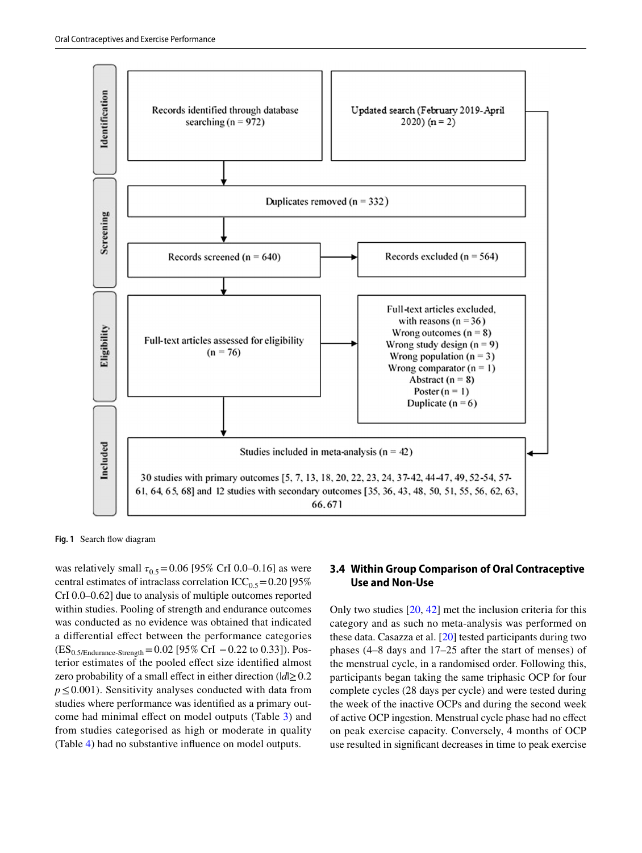

<span id="page-18-0"></span>**Fig. 1** Search fow diagram

was relatively small  $\tau_{0.5}$  = 0.06 [95% CrI 0.0–0.16] as were central estimates of intraclass correlation  $ICC<sub>0.5</sub> = 0.20$  [95%] CrI 0.0–0.62] due to analysis of multiple outcomes reported within studies. Pooling of strength and endurance outcomes was conducted as no evidence was obtained that indicated a diferential efect between the performance categories  $(ES_{0.5/Endurance-Streamgh}=0.02 [95\% CrI -0.22 to 0.33]).$  Posterior estimates of the pooled efect size identifed almost zero probability of a small effect in either direction  $(|d| \ge 0.2$ *p*≤0.001). Sensitivity analyses conducted with data from studies where performance was identifed as a primary outcome had minimal efect on model outputs (Table [3\)](#page-21-0) and from studies categorised as high or moderate in quality (Table [4\)](#page-22-0) had no substantive infuence on model outputs.

#### **3.4 Within Group Comparison of Oral Contraceptive Use and Non‑Use**

Only two studies [\[20](#page-25-18), [42\]](#page-26-18) met the inclusion criteria for this category and as such no meta-analysis was performed on these data. Casazza et al. [\[20](#page-25-18)] tested participants during two phases (4–8 days and 17–25 after the start of menses) of the menstrual cycle, in a randomised order. Following this, participants began taking the same triphasic OCP for four complete cycles (28 days per cycle) and were tested during the week of the inactive OCPs and during the second week of active OCP ingestion. Menstrual cycle phase had no efect on peak exercise capacity. Conversely, 4 months of OCP use resulted in signifcant decreases in time to peak exercise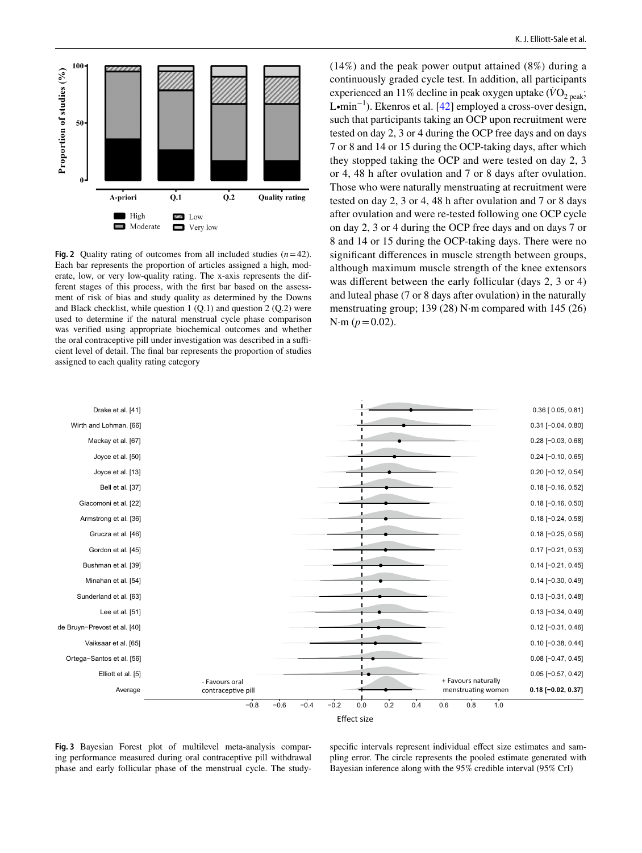

<span id="page-19-0"></span>**Fig. 2** Quality rating of outcomes from all included studies  $(n=42)$ . Each bar represents the proportion of articles assigned a high, moderate, low, or very low-quality rating. The x-axis represents the different stages of this process, with the frst bar based on the assessment of risk of bias and study quality as determined by the Downs and Black checklist, while question  $1 (Q.1)$  and question  $2 (Q.2)$  were used to determine if the natural menstrual cycle phase comparison was verifed using appropriate biochemical outcomes and whether the oral contraceptive pill under investigation was described in a sufficient level of detail. The fnal bar represents the proportion of studies assigned to each quality rating category

(14%) and the peak power output attained (8%) during a continuously graded cycle test. In addition, all participants experienced an 11% decline in peak oxygen uptake  $(\dot{V}O_{2 \text{ peak}})$ ; L∙min−1). Ekenros et al. [[42\]](#page-26-18) employed a cross-over design, such that participants taking an OCP upon recruitment were tested on day 2, 3 or 4 during the OCP free days and on days 7 or 8 and 14 or 15 during the OCP-taking days, after which they stopped taking the OCP and were tested on day 2, 3 or 4, 48 h after ovulation and 7 or 8 days after ovulation. Those who were naturally menstruating at recruitment were tested on day 2, 3 or 4, 48 h after ovulation and 7 or 8 days after ovulation and were re-tested following one OCP cycle on day 2, 3 or 4 during the OCP free days and on days 7 or 8 and 14 or 15 during the OCP-taking days. There were no signifcant diferences in muscle strength between groups, although maximum muscle strength of the knee extensors was diferent between the early follicular (days 2, 3 or 4) and luteal phase (7 or 8 days after ovulation) in the naturally menstruating group; 139 (28) N·m compared with 145 (26)  $N \cdot m$  ( $p = 0.02$ ).



<span id="page-19-1"></span>**Fig. 3** Bayesian Forest plot of multilevel meta-analysis comparing performance measured during oral contraceptive pill withdrawal phase and early follicular phase of the menstrual cycle. The study-

specific intervals represent individual effect size estimates and sampling error. The circle represents the pooled estimate generated with Bayesian inference along with the 95% credible interval (95% CrI)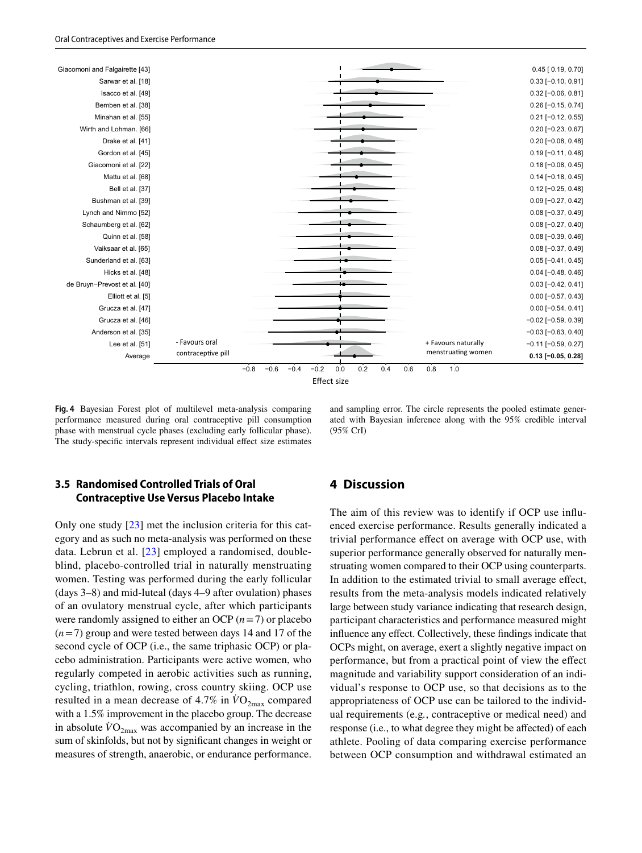

<span id="page-20-0"></span>**Fig. 4** Bayesian Forest plot of multilevel meta-analysis comparing performance measured during oral contraceptive pill consumption phase with menstrual cycle phases (excluding early follicular phase). The study-specific intervals represent individual effect size estimates

and sampling error. The circle represents the pooled estimate generated with Bayesian inference along with the 95% credible interval (95% CrI)

#### **3.5 Randomised Controlled Trials of Oral Contraceptive Use Versus Placebo Intake**

Only one study [[23\]](#page-25-20) met the inclusion criteria for this category and as such no meta-analysis was performed on these data. Lebrun et al. [[23](#page-25-20)] employed a randomised, doubleblind, placebo-controlled trial in naturally menstruating women. Testing was performed during the early follicular (days 3–8) and mid-luteal (days 4–9 after ovulation) phases of an ovulatory menstrual cycle, after which participants were randomly assigned to either an OCP  $(n=7)$  or placebo (*n*=7) group and were tested between days 14 and 17 of the second cycle of OCP (i.e., the same triphasic OCP) or placebo administration. Participants were active women, who regularly competed in aerobic activities such as running, cycling, triathlon, rowing, cross country skiing. OCP use resulted in a mean decrease of 4.7% in  $\rm\ddot{VO}_{2max}$  compared with a 1.5% improvement in the placebo group. The decrease in absolute  $VO_{2\text{max}}$  was accompanied by an increase in the sum of skinfolds, but not by signifcant changes in weight or measures of strength, anaerobic, or endurance performance.

#### **4 Discussion**

The aim of this review was to identify if OCP use infuenced exercise performance. Results generally indicated a trivial performance efect on average with OCP use, with superior performance generally observed for naturally menstruating women compared to their OCP using counterparts. In addition to the estimated trivial to small average efect, results from the meta-analysis models indicated relatively large between study variance indicating that research design, participant characteristics and performance measured might infuence any efect. Collectively, these fndings indicate that OCPs might, on average, exert a slightly negative impact on performance, but from a practical point of view the efect magnitude and variability support consideration of an individual's response to OCP use, so that decisions as to the appropriateness of OCP use can be tailored to the individual requirements (e.g*.*, contraceptive or medical need) and response (i.e., to what degree they might be afected) of each athlete. Pooling of data comparing exercise performance between OCP consumption and withdrawal estimated an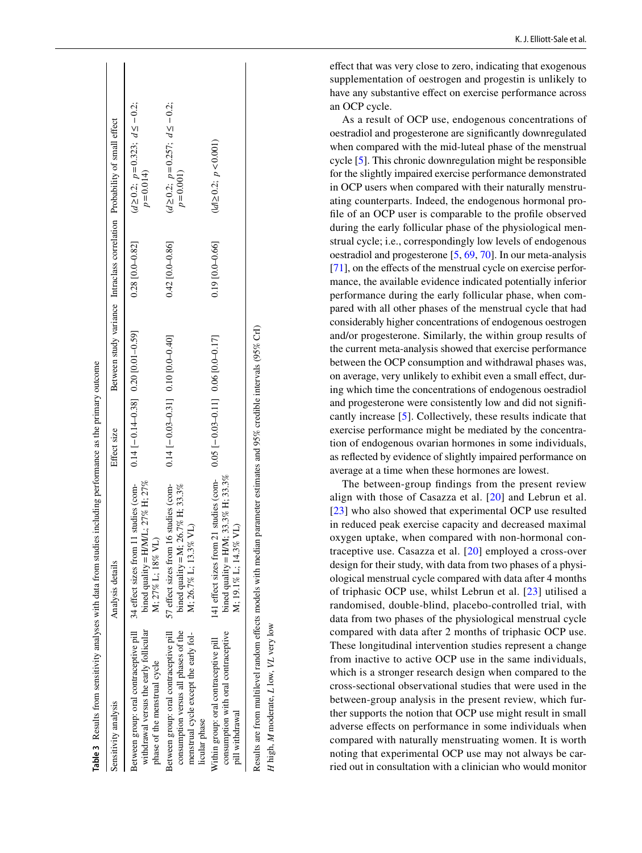|                                                                                                                                          | Table 3 Results from sensitivity analyses with data from studies including performance as the primary outcome          |                                        |                   |                                                                           |  |
|------------------------------------------------------------------------------------------------------------------------------------------|------------------------------------------------------------------------------------------------------------------------|----------------------------------------|-------------------|---------------------------------------------------------------------------|--|
| Sensitivity analysis                                                                                                                     | Analysis details                                                                                                       | Effect size                            |                   | Between study variance Intraclass correlation Probability of small effect |  |
| Between group: oral contraceptive pill<br>withdrawal versus the early follicular<br>phase of the menstrual cycle                         | bined quality = H/M/L; $27\%$ H; $27\%$<br>11 studies (com-<br>M; 27% L; 18% VL<br>34 effect sizes from 1              | $0.14$ [-0.14 (0.26) $-1$ (0.20) $-1$  | $0.28$ [0.0-0.82] | $d \ge 0.2$ ; $p = 0.323$ ; $d \le -0.2$ ;<br>$p = 0.014$                 |  |
| Between group: oral contraceptive pill<br>consumption versus all phases of the<br>menstrual cycle except the early fol-<br>licular phase | 16 studies (com-<br>bined quality = M; 26.7% H; 33.3%<br>M: 26.7% L: 13.3% VL)<br>57 effect sizes from 1               | $0.14$ [-0.03-0.01] 0.10 [0.04:0-0.01] | $0.42$ [0.0-0.86] | $d \ge 0.2$ ; $p = 0.257$ ; $d \le -0.2$ ;<br>$p = 0.001$                 |  |
| consumption with oral contraceptive<br>Within group: oral contraceptive pill<br>pill withdrawal                                          | 141 effect sizes from 21 studies (com-<br>bined quality = H/M; 33.3% H; 33.3%<br>M; 19.1% L; 14.3% VL)                 | $0.05[-0.03-0.11]$ 0.06 [0.0-0.17]     | $0.19$ [0.0-0.66] | $(d \ge 0.2; p < 0.001)$                                                  |  |
| H high, M moderate, L low, VL very low                                                                                                   | Results are from multilevel random effects models with median parameter estimates and 95% credible intervals (95% CrI) |                                        |                   |                                                                           |  |

efect that was very close to zero, indicating that exogenous supplementation of oestrogen and progestin is unlikely to have any substantive effect on exercise performance across an OCP cycle.

As a result of OCP use, endogenous concentrations of oestradiol and progesterone are signifcantly downregulated when compared with the mid-luteal phase of the menstrual cycle [ [5\]](#page-25-4). This chronic downregulation might be responsible for the slightly impaired exercise performance demonstrated in OCP users when compared with their naturally menstru ating counterparts. Indeed, the endogenous hormonal pro fle of an OCP user is comparable to the profle observed during the early follicular phase of the physiological men strual cycle; i.e., correspondingly low levels of endogenous oestradiol and progesterone [ [5](#page-25-4), [69,](#page-27-6) [70\]](#page-27-7). In our meta-analysis  $[71]$  $[71]$ , on the effects of the menstrual cycle on exercise performance, the available evidence indicated potentially inferior performance during the early follicular phase, when com pared with all other phases of the menstrual cycle that had considerably higher concentrations of endogenous oestrogen and/or progesterone. Similarly, the within group results of the current meta-analysis showed that exercise performance between the OCP consumption and withdrawal phases was, on average, very unlikely to exhibit even a small efect, dur ing which time the concentrations of endogenous oestradiol and progesterone were consistently low and did not signif cantly increase [ [5](#page-25-4)]. Collectively, these results indicate that exercise performance might be mediated by the concentra tion of endogenous ovarian hormones in some individuals, as refected by evidence of slightly impaired performance on average at a time when these hormones are lowest.

<span id="page-21-0"></span>The between-group fndings from the present review [alig](#page-25-20)n with those of Casazza et al. [[20](#page-25-18)] and Lebrun et al. [[23\]](#page-25-20) who also showed that experimental OCP use resulted in reduced peak exercise capacity and decreased maximal oxygen uptake, when compared with non-hormonal con traceptive use. Casazza et al. [[20](#page-25-18)] employed a cross-over design for their study, with data from two phases of a physi ological menstrual cycle compared with data after 4 months of triphasic OCP use, whilst Lebrun et al. [[23](#page-25-20)] utilised a randomised, double-blind, placebo-controlled trial, with data from two phases of the physiological menstrual cycle compared with data after 2 months of triphasic OCP use. These longitudinal intervention studies represent a change from inactive to active OCP use in the same individuals, which is a stronger research design when compared to the cross-sectional observational studies that were used in the between-group analysis in the present review, which fur ther supports the notion that OCP use might result in small adverse efects on performance in some individuals when compared with naturally menstruating women. It is worth noting that experimental OCP use may not always be car ried out in consultation with a clinician who would monitor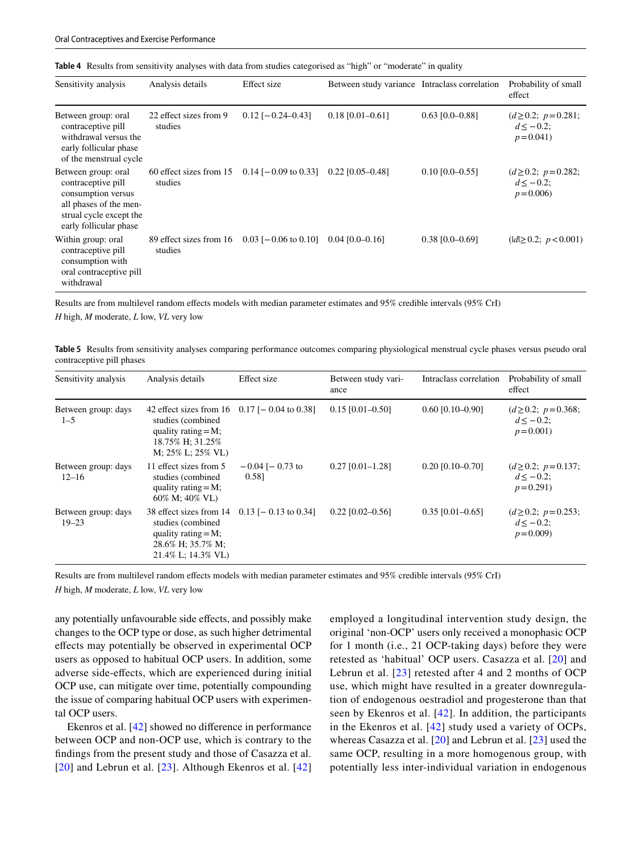<span id="page-22-0"></span>

|  | Table 4 Results from sensitivity analyses with data from studies categorised as "high" or "moderate" in quality |  |  |  |  |  |  |  |  |  |  |  |
|--|-----------------------------------------------------------------------------------------------------------------|--|--|--|--|--|--|--|--|--|--|--|
|--|-----------------------------------------------------------------------------------------------------------------|--|--|--|--|--|--|--|--|--|--|--|

| Sensitivity analysis                                                                                                                           | Analysis details                   | Effect size            | Between study variance Intraclass correlation |                   | Probability of small<br>effect                          |
|------------------------------------------------------------------------------------------------------------------------------------------------|------------------------------------|------------------------|-----------------------------------------------|-------------------|---------------------------------------------------------|
| Between group: oral<br>contraceptive pill<br>withdrawal versus the<br>early follicular phase<br>of the menstrual cycle                         | 22 effect sizes from 9<br>studies  | $0.12$ [-0.24-0.43]    | $0.18$ [0.01-0.61]                            | $0.63$ [0.0-0.88] | $(d\geq 0.2; p=0.281;$<br>$d \le -0.2$ ;<br>$p = 0.041$ |
| Between group: oral<br>contraceptive pill<br>consumption versus<br>all phases of the men-<br>strual cycle except the<br>early follicular phase | 60 effect sizes from 15<br>studies | $0.14$ [-0.09 to 0.33] | $0.22$ [0.05-0.48]                            | $0.10$ [0.0–0.55] | $(d\geq 0.2; p=0.282;$<br>$d \le -0.2$ ;<br>$p = 0.006$ |
| Within group: oral<br>contraceptive pill<br>consumption with<br>oral contraceptive pill<br>withdrawal                                          | 89 effect sizes from 16<br>studies | $0.03$ [-0.06 to 0.10] | $0.04$ $[0.0 - 0.16]$                         | $0.38$ [0.0-0.69] | $( d  \geq 0.2; p < 0.001)$                             |

Results are from multilevel random efects models with median parameter estimates and 95% credible intervals (95% CrI) *H* high, *M* moderate, *L* low, *VL* very low

<span id="page-22-1"></span>**Table 5** Results from sensitivity analyses comparing performance outcomes comparing physiological menstrual cycle phases versus pseudo oral

| Sensitivity analysis             | Analysis details                                                                                                                           | Effect size                   | Between study vari-<br>ance | Intraclass correlation | Probability of small<br>effect                          |
|----------------------------------|--------------------------------------------------------------------------------------------------------------------------------------------|-------------------------------|-----------------------------|------------------------|---------------------------------------------------------|
| Between group: days<br>$1 - 5$   | 42 effect sizes from $16$ 0.17 [- 0.04 to 0.38]<br>studies (combined)<br>quality rating $=M$ ;<br>18.75% H; 31.25%<br>$M: 25\% L: 25\% VL$ |                               | $0.15$ [0.01-0.50]          | $0.60$ [0.10-0.90]     | $(d\geq 0.2; p=0.368;$<br>$d \le -0.2$ ;<br>$p = 0.001$ |
| Between group: days<br>$12 - 16$ | 11 effect sizes from 5<br>studies (combined)<br>quality rating $=M$ ;<br>$60\%$ M: $40\%$ VL)                                              | $-0.04$ [ $-0.73$ to<br>0.581 | $0.27$ [0.01-1.28]          | $0.20$ [0.10-0.70]     | $(d \ge 0.2; p = 0.137;$<br>$d \le -0.2$ ;<br>$p=0.291$ |
| Between group: days<br>$19 - 23$ | 38 effect sizes from 14<br>studies (combined)<br>quality rating $=M$ ;<br>28.6% H; 35.7% M;<br>21.4% L; 14.3% VL)                          | $0.13$ [- 0.13 to 0.34]       | $0.22$ [0.02-0.56]          | $0.35$ [0.01-0.65]     | $(d\geq 0.2; p=0.253;$<br>$d \le -0.2$ ;<br>$p = 0.009$ |

Results are from multilevel random efects models with median parameter estimates and 95% credible intervals (95% CrI)

*H* high, *M* moderate, *L* low, *VL* very low

contraceptive pill phases

any potentially unfavourable side efects, and possibly make changes to the OCP type or dose, as such higher detrimental efects may potentially be observed in experimental OCP users as opposed to habitual OCP users. In addition, some adverse side-efects, which are experienced during initial OCP use, can mitigate over time, potentially compounding the issue of comparing habitual OCP users with experimental OCP users.

Ekenros et al. [\[42](#page-26-18)] showed no diference in performance between OCP and non-OCP use, which is contrary to the fndings from the present study and those of Casazza et al. [[20\]](#page-25-18) and Lebrun et al. [[23](#page-25-20)]. Although Ekenros et al. [\[42\]](#page-26-18) employed a longitudinal intervention study design, the original 'non-OCP' users only received a monophasic OCP for 1 month (i.e., 21 OCP-taking days) before they were retested as 'habitual' OCP users. Casazza et al. [\[20\]](#page-25-18) and Lebrun et al. [[23](#page-25-20)] retested after 4 and 2 months of OCP use, which might have resulted in a greater downregulation of endogenous oestradiol and progesterone than that seen by Ekenros et al. [[42\]](#page-26-18). In addition, the participants in the Ekenros et al. [[42\]](#page-26-18) study used a variety of OCPs, whereas Casazza et al. [[20\]](#page-25-18) and Lebrun et al. [[23\]](#page-25-20) used the same OCP, resulting in a more homogenous group, with potentially less inter-individual variation in endogenous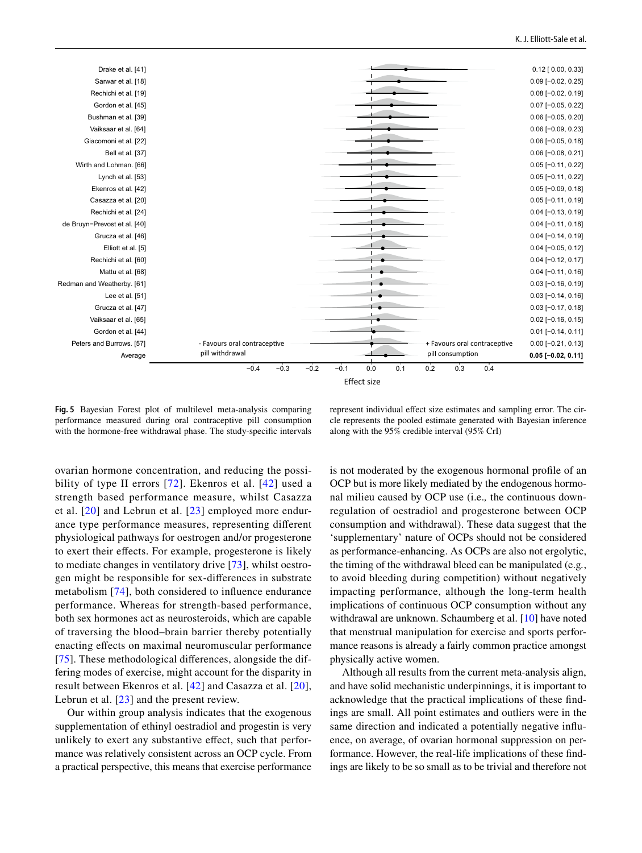

<span id="page-23-0"></span>**Fig. 5** Bayesian Forest plot of multilevel meta-analysis comparing performance measured during oral contraceptive pill consumption with the hormone-free withdrawal phase. The study-specifc intervals

represent individual effect size estimates and sampling error. The circle represents the pooled estimate generated with Bayesian inference along with the 95% credible interval (95% CrI)

ovarian hormone concentration, and reducing the possibility of type II errors [[72](#page-27-9)]. Ekenros et al. [[42](#page-26-18)] used a strength based performance measure, whilst Casazza et al. [[20](#page-25-18)] and Lebrun et al. [[23\]](#page-25-20) employed more endurance type performance measures, representing diferent physiological pathways for oestrogen and/or progesterone to exert their efects. For example, progesterone is likely to mediate changes in ventilatory drive [[73](#page-27-10)], whilst oestrogen might be responsible for sex-diferences in substrate metabolism [[74](#page-27-11)], both considered to infuence endurance performance. Whereas for strength-based performance, both sex hormones act as neurosteroids, which are capable of traversing the blood–brain barrier thereby potentially enacting efects on maximal neuromuscular performance [\[75\]](#page-27-12). These methodological differences, alongside the differing modes of exercise, might account for the disparity in result between Ekenros et al. [[42\]](#page-26-18) and Casazza et al. [[20](#page-25-18)], Lebrun et al. [\[23\]](#page-25-20) and the present review.

Our within group analysis indicates that the exogenous supplementation of ethinyl oestradiol and progestin is very unlikely to exert any substantive efect, such that performance was relatively consistent across an OCP cycle. From a practical perspective, this means that exercise performance

is not moderated by the exogenous hormonal profle of an OCP but is more likely mediated by the endogenous hormonal milieu caused by OCP use (i.e.*,* the continuous downregulation of oestradiol and progesterone between OCP consumption and withdrawal). These data suggest that the 'supplementary' nature of OCPs should not be considered as performance-enhancing. As OCPs are also not ergolytic, the timing of the withdrawal bleed can be manipulated (e.g*.*, to avoid bleeding during competition) without negatively impacting performance, although the long-term health implications of continuous OCP consumption without any withdrawal are unknown. Schaumberg et al. [\[10](#page-25-9)] have noted that menstrual manipulation for exercise and sports performance reasons is already a fairly common practice amongst physically active women.

Although all results from the current meta-analysis align, and have solid mechanistic underpinnings, it is important to acknowledge that the practical implications of these fndings are small. All point estimates and outliers were in the same direction and indicated a potentially negative infuence, on average, of ovarian hormonal suppression on performance. However, the real-life implications of these fndings are likely to be so small as to be trivial and therefore not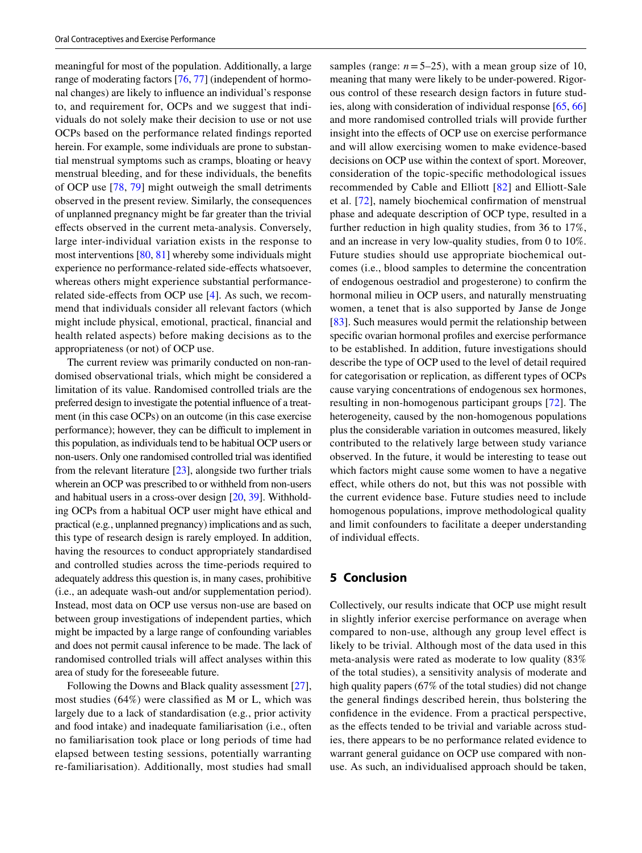meaningful for most of the population. Additionally, a large range of moderating factors [\[76](#page-27-13), [77\]](#page-27-14) (independent of hormonal changes) are likely to infuence an individual's response to, and requirement for, OCPs and we suggest that individuals do not solely make their decision to use or not use OCPs based on the performance related fndings reported herein. For example, some individuals are prone to substantial menstrual symptoms such as cramps, bloating or heavy menstrual bleeding, and for these individuals, the benefts of OCP use [\[78](#page-27-15), [79](#page-27-16)] might outweigh the small detriments observed in the present review. Similarly, the consequences of unplanned pregnancy might be far greater than the trivial efects observed in the current meta-analysis. Conversely, large inter-individual variation exists in the response to most interventions [[80,](#page-27-17) [81](#page-27-18)] whereby some individuals might experience no performance-related side-efects whatsoever, whereas others might experience substantial performancerelated side-efects from OCP use [[4\]](#page-25-3). As such, we recommend that individuals consider all relevant factors (which might include physical, emotional, practical, fnancial and health related aspects) before making decisions as to the appropriateness (or not) of OCP use.

The current review was primarily conducted on non-randomised observational trials, which might be considered a limitation of its value. Randomised controlled trials are the preferred design to investigate the potential infuence of a treatment (in this case OCPs) on an outcome (in this case exercise performance); however, they can be difficult to implement in this population, as individuals tend to be habitual OCP users or non-users. Only one randomised controlled trial was identifed from the relevant literature  $[23]$  $[23]$ , alongside two further trials wherein an OCP was prescribed to or withheld from non-users and habitual users in a cross-over design [\[20,](#page-25-18) [39\]](#page-26-15). Withholding OCPs from a habitual OCP user might have ethical and practical (e.g*.*, unplanned pregnancy) implications and as such, this type of research design is rarely employed. In addition, having the resources to conduct appropriately standardised and controlled studies across the time-periods required to adequately address this question is, in many cases, prohibitive (i.e., an adequate wash-out and/or supplementation period). Instead, most data on OCP use versus non-use are based on between group investigations of independent parties, which might be impacted by a large range of confounding variables and does not permit causal inference to be made. The lack of randomised controlled trials will afect analyses within this area of study for the foreseeable future.

Following the Downs and Black quality assessment [\[27](#page-26-3)], most studies (64%) were classifed as M or L, which was largely due to a lack of standardisation (e.g*.*, prior activity and food intake) and inadequate familiarisation (i.e., often no familiarisation took place or long periods of time had elapsed between testing sessions, potentially warranting re-familiarisation). Additionally, most studies had small samples (range:  $n = 5-25$ ), with a mean group size of 10, meaning that many were likely to be under-powered. Rigorous control of these research design factors in future studies, along with consideration of individual response [\[65](#page-27-4), [66\]](#page-27-5) and more randomised controlled trials will provide further insight into the efects of OCP use on exercise performance and will allow exercising women to make evidence-based decisions on OCP use within the context of sport. Moreover, consideration of the topic-specifc methodological issues recommended by Cable and Elliott [[82](#page-27-19)] and Elliott-Sale et al. [[72\]](#page-27-9), namely biochemical confrmation of menstrual phase and adequate description of OCP type, resulted in a further reduction in high quality studies, from 36 to 17%, and an increase in very low-quality studies, from 0 to 10%. Future studies should use appropriate biochemical outcomes (i.e., blood samples to determine the concentration of endogenous oestradiol and progesterone) to confrm the hormonal milieu in OCP users, and naturally menstruating women, a tenet that is also supported by Janse de Jonge [[83\]](#page-27-20). Such measures would permit the relationship between specifc ovarian hormonal profles and exercise performance to be established. In addition, future investigations should describe the type of OCP used to the level of detail required for categorisation or replication, as diferent types of OCPs cause varying concentrations of endogenous sex hormones, resulting in non-homogenous participant groups [[72\]](#page-27-9). The heterogeneity, caused by the non-homogenous populations plus the considerable variation in outcomes measured, likely contributed to the relatively large between study variance observed. In the future, it would be interesting to tease out which factors might cause some women to have a negative efect, while others do not, but this was not possible with the current evidence base. Future studies need to include homogenous populations, improve methodological quality and limit confounders to facilitate a deeper understanding of individual efects.

## **5 Conclusion**

Collectively, our results indicate that OCP use might result in slightly inferior exercise performance on average when compared to non-use, although any group level efect is likely to be trivial. Although most of the data used in this meta-analysis were rated as moderate to low quality (83% of the total studies), a sensitivity analysis of moderate and high quality papers (67% of the total studies) did not change the general fndings described herein, thus bolstering the confdence in the evidence. From a practical perspective, as the efects tended to be trivial and variable across studies, there appears to be no performance related evidence to warrant general guidance on OCP use compared with nonuse. As such, an individualised approach should be taken,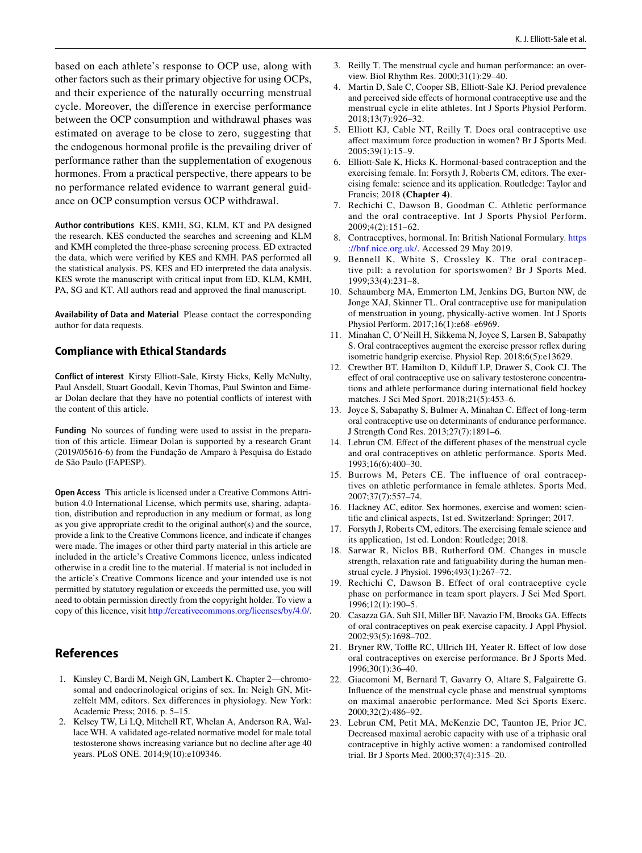based on each athlete's response to OCP use, along with other factors such as their primary objective for using OCPs, and their experience of the naturally occurring menstrual cycle. Moreover, the diference in exercise performance between the OCP consumption and withdrawal phases was estimated on average to be close to zero, suggesting that the endogenous hormonal profle is the prevailing driver of performance rather than the supplementation of exogenous hormones. From a practical perspective, there appears to be no performance related evidence to warrant general guidance on OCP consumption versus OCP withdrawal.

**Author contributions** KES, KMH, SG, KLM, KT and PA designed the research. KES conducted the searches and screening and KLM and KMH completed the three-phase screening process. ED extracted the data, which were verifed by KES and KMH. PAS performed all the statistical analysis. PS, KES and ED interpreted the data analysis. KES wrote the manuscript with critical input from ED, KLM, KMH, PA, SG and KT. All authors read and approved the fnal manuscript.

**Availability of Data and Material** Please contact the corresponding author for data requests.

#### **Compliance with Ethical Standards**

**Conflict of interest** Kirsty Elliott-Sale, Kirsty Hicks, Kelly McNulty, Paul Ansdell, Stuart Goodall, Kevin Thomas, Paul Swinton and Eimear Dolan declare that they have no potential conficts of interest with the content of this article.

**Funding** No sources of funding were used to assist in the preparation of this article. Eimear Dolan is supported by a research Grant (2019/05616-6) from the Fundação de Amparo à Pesquisa do Estado de São Paulo (FAPESP).

**Open Access** This article is licensed under a Creative Commons Attribution 4.0 International License, which permits use, sharing, adaptation, distribution and reproduction in any medium or format, as long as you give appropriate credit to the original author(s) and the source, provide a link to the Creative Commons licence, and indicate if changes were made. The images or other third party material in this article are included in the article's Creative Commons licence, unless indicated otherwise in a credit line to the material. If material is not included in the article's Creative Commons licence and your intended use is not permitted by statutory regulation or exceeds the permitted use, you will need to obtain permission directly from the copyright holder. To view a copy of this licence, visit <http://creativecommons.org/licenses/by/4.0/>.

# **References**

- <span id="page-25-0"></span>1. Kinsley C, Bardi M, Neigh GN, Lambert K. Chapter 2—chromosomal and endocrinological origins of sex. In: Neigh GN, Mitzelfelt MM, editors. Sex diferences in physiology. New York: Academic Press; 2016. p. 5–15.
- <span id="page-25-1"></span>2. Kelsey TW, Li LQ, Mitchell RT, Whelan A, Anderson RA, Wallace WH. A validated age-related normative model for male total testosterone shows increasing variance but no decline after age 40 years. PLoS ONE. 2014;9(10):e109346.
- <span id="page-25-2"></span>3. Reilly T. The menstrual cycle and human performance: an overview. Biol Rhythm Res. 2000;31(1):29–40.
- <span id="page-25-3"></span>4. Martin D, Sale C, Cooper SB, Elliott-Sale KJ. Period prevalence and perceived side efects of hormonal contraceptive use and the menstrual cycle in elite athletes. Int J Sports Physiol Perform. 2018;13(7):926–32.
- <span id="page-25-4"></span>5. Elliott KJ, Cable NT, Reilly T. Does oral contraceptive use afect maximum force production in women? Br J Sports Med. 2005;39(1):15–9.
- <span id="page-25-5"></span>6. Elliott-Sale K, Hicks K. Hormonal-based contraception and the exercising female. In: Forsyth J, Roberts CM, editors. The exercising female: science and its application. Routledge: Taylor and Francis; 2018 **(Chapter 4)**.
- <span id="page-25-6"></span>7. Rechichi C, Dawson B, Goodman C. Athletic performance and the oral contraceptive. Int J Sports Physiol Perform. 2009;4(2):151–62.
- <span id="page-25-7"></span>8. Contraceptives, hormonal. In: British National Formulary. [https](https://bnf.nice.org.uk/) [://bnf.nice.org.uk/](https://bnf.nice.org.uk/). Accessed 29 May 2019.
- <span id="page-25-8"></span>9. Bennell K, White S, Crossley K. The oral contraceptive pill: a revolution for sportswomen? Br J Sports Med. 1999;33(4):231–8.
- <span id="page-25-9"></span>10. Schaumberg MA, Emmerton LM, Jenkins DG, Burton NW, de Jonge XAJ, Skinner TL. Oral contraceptive use for manipulation of menstruation in young, physically-active women. Int J Sports Physiol Perform. 2017;16(1):e68–e6969.
- <span id="page-25-10"></span>11. Minahan C, O'Neill H, Sikkema N, Joyce S, Larsen B, Sabapathy S. Oral contraceptives augment the exercise pressor refex during isometric handgrip exercise. Physiol Rep. 2018;6(5):e13629.
- 12. Crewther BT, Hamilton D, Kilduf LP, Drawer S, Cook CJ. The efect of oral contraceptive use on salivary testosterone concentrations and athlete performance during international feld hockey matches. J Sci Med Sport. 2018;21(5):453–6.
- <span id="page-25-11"></span>13. Joyce S, Sabapathy S, Bulmer A, Minahan C. Efect of long-term oral contraceptive use on determinants of endurance performance. J Strength Cond Res. 2013;27(7):1891–6.
- <span id="page-25-12"></span>14. Lebrun CM. Efect of the diferent phases of the menstrual cycle and oral contraceptives on athletic performance. Sports Med. 1993;16(6):400–30.
- <span id="page-25-13"></span>15. Burrows M, Peters CE. The influence of oral contraceptives on athletic performance in female athletes. Sports Med. 2007;37(7):557–74.
- <span id="page-25-14"></span>16. Hackney AC, editor. Sex hormones, exercise and women; scientifc and clinical aspects, 1st ed. Switzerland: Springer; 2017.
- <span id="page-25-15"></span>17. Forsyth J, Roberts CM, editors. The exercising female science and its application, 1st ed. London: Routledge; 2018.
- <span id="page-25-16"></span>18. Sarwar R, Niclos BB, Rutherford OM. Changes in muscle strength, relaxation rate and fatiguability during the human menstrual cycle. J Physiol. 1996;493(1):267–72.
- <span id="page-25-17"></span>19. Rechichi C, Dawson B. Effect of oral contraceptive cycle phase on performance in team sport players. J Sci Med Sport. 1996;12(1):190–5.
- <span id="page-25-18"></span>20. Casazza GA, Suh SH, Miller BF, Navazio FM, Brooks GA. Efects of oral contraceptives on peak exercise capacity. J Appl Physiol. 2002;93(5):1698–702.
- 21. Bryner RW, Toffle RC, Ullrich IH, Yeater R. Effect of low dose oral contraceptives on exercise performance. Br J Sports Med. 1996;30(1):36–40.
- <span id="page-25-19"></span>22. Giacomoni M, Bernard T, Gavarry O, Altare S, Falgairette G. Infuence of the menstrual cycle phase and menstrual symptoms on maximal anaerobic performance. Med Sci Sports Exerc. 2000;32(2):486–92.
- <span id="page-25-20"></span>23. Lebrun CM, Petit MA, McKenzie DC, Taunton JE, Prior JC. Decreased maximal aerobic capacity with use of a triphasic oral contraceptive in highly active women: a randomised controlled trial. Br J Sports Med. 2000;37(4):315–20.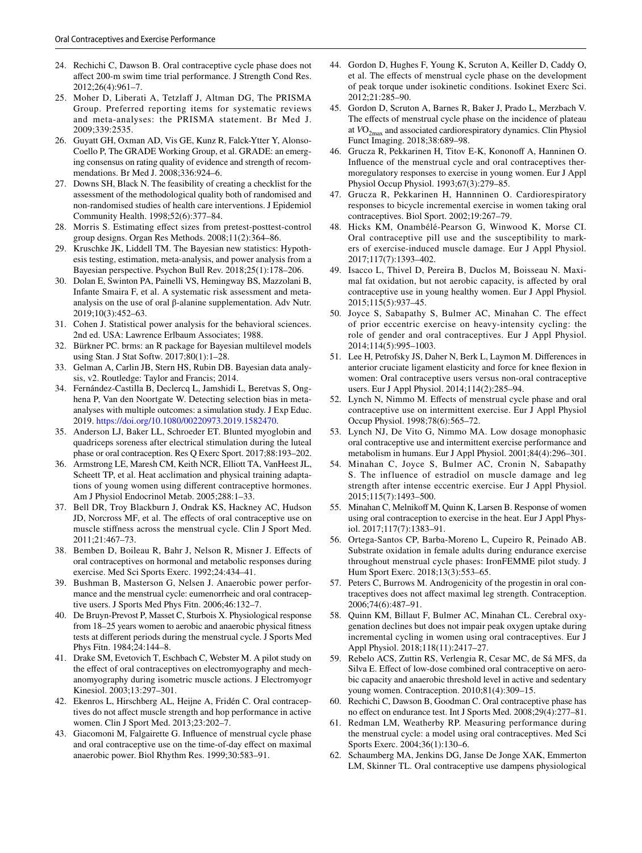- <span id="page-26-0"></span>24. Rechichi C, Dawson B. Oral contraceptive cycle phase does not afect 200-m swim time trial performance. J Strength Cond Res. 2012;26(4):961–7.
- <span id="page-26-1"></span>25. Moher D, Liberati A, Tetzlaff J, Altman DG, The PRISMA Group. Preferred reporting items for systematic reviews and meta-analyses: the PRISMA statement. Br Med J. 2009;339:2535.
- <span id="page-26-2"></span>26. Guyatt GH, Oxman AD, Vis GE, Kunz R, Falck-Ytter Y, Alonso-Coello P, The GRADE Working Group, et al. GRADE: an emerging consensus on rating quality of evidence and strength of recommendations. Br Med J. 2008;336:924–6.
- <span id="page-26-3"></span>27. Downs SH, Black N. The feasibility of creating a checklist for the assessment of the methodological quality both of randomised and non-randomised studies of health care interventions. J Epidemiol Community Health. 1998;52(6):377–84.
- <span id="page-26-4"></span>28. Morris S. Estimating efect sizes from pretest-posttest-control group designs. Organ Res Methods. 2008;11(2):364–86.
- <span id="page-26-5"></span>29. Kruschke JK, Liddell TM. The Bayesian new statistics: Hypothesis testing, estimation, meta-analysis, and power analysis from a Bayesian perspective. Psychon Bull Rev. 2018;25(1):178–206.
- <span id="page-26-6"></span>30. Dolan E, Swinton PA, Painelli VS, Hemingway BS, Mazzolani B, Infante Smaira F, et al. A systematic risk assessment and metaanalysis on the use of oral β-alanine supplementation. Adv Nutr. 2019;10(3):452–63.
- <span id="page-26-7"></span>31. Cohen J. Statistical power analysis for the behavioral sciences. 2nd ed. USA: Lawrence Erlbaum Associates; 1988.
- <span id="page-26-8"></span>32. Bürkner PC. brms: an R package for Bayesian multilevel models using Stan. J Stat Softw. 2017;80(1):1–28.
- <span id="page-26-9"></span>33. Gelman A, Carlin JB, Stern HS, Rubin DB. Bayesian data analysis, v2. Routledge: Taylor and Francis; 2014.
- <span id="page-26-10"></span>34. Fernández-Castilla B, Declercq L, Jamshidi L, Beretvas S, Onghena P, Van den Noortgate W. Detecting selection bias in metaanalyses with multiple outcomes: a simulation study. J Exp Educ. 2019.<https://doi.org/10.1080/00220973.2019.1582470>.
- <span id="page-26-11"></span>35. Anderson LJ, Baker LL, Schroeder ET. Blunted myoglobin and quadriceps soreness after electrical stimulation during the luteal phase or oral contraception. Res Q Exerc Sport. 2017;88:193–202.
- <span id="page-26-12"></span>36. Armstrong LE, Maresh CM, Keith NCR, Elliott TA, VanHeest JL, Scheett TP, et al. Heat acclimation and physical training adaptations of young women using diferent contraceptive hormones. Am J Physiol Endocrinol Metab. 2005;288:1–33.
- <span id="page-26-13"></span>37. Bell DR, Troy Blackburn J, Ondrak KS, Hackney AC, Hudson JD, Norcross MF, et al. The efects of oral contraceptive use on muscle stifness across the menstrual cycle. Clin J Sport Med. 2011;21:467–73.
- <span id="page-26-14"></span>38. Bemben D, Boileau R, Bahr J, Nelson R, Misner J. Efects of oral contraceptives on hormonal and metabolic responses during exercise. Med Sci Sports Exerc. 1992;24:434–41.
- <span id="page-26-15"></span>39. Bushman B, Masterson G, Nelsen J. Anaerobic power performance and the menstrual cycle: eumenorrheic and oral contraceptive users. J Sports Med Phys Fitn. 2006;46:132–7.
- <span id="page-26-16"></span>40. De Bruyn-Prevost P, Masset C, Sturbois X. Physiological response from 18–25 years women to aerobic and anaerobic physical ftness tests at diferent periods during the menstrual cycle. J Sports Med Phys Fitn. 1984;24:144–8.
- <span id="page-26-17"></span>41. Drake SM, Evetovich T, Eschbach C, Webster M. A pilot study on the effect of oral contraceptives on electromyography and mechanomyography during isometric muscle actions. J Electromyogr Kinesiol. 2003;13:297–301.
- <span id="page-26-18"></span>42. Ekenros L, Hirschberg AL, Heijne A, Fridén C. Oral contraceptives do not afect muscle strength and hop performance in active women. Clin J Sport Med. 2013;23:202–7.
- <span id="page-26-19"></span>43. Giacomoni M, Falgairette G. Infuence of menstrual cycle phase and oral contraceptive use on the time-of-day efect on maximal anaerobic power. Biol Rhythm Res. 1999;30:583–91.
- <span id="page-26-20"></span>44. Gordon D, Hughes F, Young K, Scruton A, Keiller D, Caddy O, et al. The efects of menstrual cycle phase on the development of peak torque under isokinetic conditions. Isokinet Exerc Sci. 2012;21:285–90.
- <span id="page-26-21"></span>45. Gordon D, Scruton A, Barnes R, Baker J, Prado L, Merzbach V. The effects of menstrual cycle phase on the incidence of plateau at VO<sub>2max</sub> and associated cardiorespiratory dynamics. Clin Physiol Funct Imaging. 2018;38:689–98.
- <span id="page-26-22"></span>46. Grucza R, Pekkarinen H, Titov E-K, Kononoff A, Hanninen O. Infuence of the menstrual cycle and oral contraceptives thermoregulatory responses to exercise in young women. Eur J Appl Physiol Occup Physiol. 1993;67(3):279–85.
- <span id="page-26-23"></span>47. Grucza R, Pekkarinen H, Hannninen O. Cardiorespiratory responses to bicycle incremental exercise in women taking oral contraceptives. Biol Sport. 2002;19:267–79.
- <span id="page-26-24"></span>48. Hicks KM, Onambélé-Pearson G, Winwood K, Morse CI. Oral contraceptive pill use and the susceptibility to markers of exercise-induced muscle damage. Eur J Appl Physiol. 2017;117(7):1393–402.
- <span id="page-26-25"></span>49. Isacco L, Thivel D, Pereira B, Duclos M, Boisseau N. Maximal fat oxidation, but not aerobic capacity, is afected by oral contraceptive use in young healthy women. Eur J Appl Physiol. 2015;115(5):937–45.
- <span id="page-26-26"></span>50. Joyce S, Sabapathy S, Bulmer AC, Minahan C. The effect of prior eccentric exercise on heavy-intensity cycling: the role of gender and oral contraceptives. Eur J Appl Physiol. 2014;114(5):995–1003.
- <span id="page-26-27"></span>51. Lee H, Petrofsky JS, Daher N, Berk L, Laymon M. Diferences in anterior cruciate ligament elasticity and force for knee fexion in women: Oral contraceptive users versus non-oral contraceptive users. Eur J Appl Physiol. 2014;114(2):285–94.
- <span id="page-26-28"></span>52. Lynch N, Nimmo M. Efects of menstrual cycle phase and oral contraceptive use on intermittent exercise. Eur J Appl Physiol Occup Physiol. 1998;78(6):565–72.
- <span id="page-26-29"></span>53. Lynch NJ, De Vito G, Nimmo MA. Low dosage monophasic oral contraceptive use and intermittent exercise performance and metabolism in humans. Eur J Appl Physiol. 2001;84(4):296–301.
- <span id="page-26-30"></span>54. Minahan C, Joyce S, Bulmer AC, Cronin N, Sabapathy S. The influence of estradiol on muscle damage and leg strength after intense eccentric exercise. Eur J Appl Physiol. 2015;115(7):1493–500.
- <span id="page-26-31"></span>55. Minahan C, Melnikoff M, Quinn K, Larsen B. Response of women using oral contraception to exercise in the heat. Eur J Appl Physiol. 2017;117(7):1383–91.
- <span id="page-26-32"></span>56. Ortega-Santos CP, Barba-Moreno L, Cupeiro R, Peinado AB. Substrate oxidation in female adults during endurance exercise throughout menstrual cycle phases: IronFEMME pilot study. J Hum Sport Exerc. 2018;13(3):553–65.
- <span id="page-26-33"></span>57. Peters C, Burrows M. Androgenicity of the progestin in oral contraceptives does not afect maximal leg strength. Contraception. 2006;74(6):487–91.
- <span id="page-26-34"></span>58. Quinn KM, Billaut F, Bulmer AC, Minahan CL. Cerebral oxygenation declines but does not impair peak oxygen uptake during incremental cycling in women using oral contraceptives. Eur J Appl Physiol. 2018;118(11):2417–27.
- <span id="page-26-35"></span>59. Rebelo ACS, Zuttin RS, Verlengia R, Cesar MC, de Sá MFS, da Silva E. Efect of low-dose combined oral contraceptive on aerobic capacity and anaerobic threshold level in active and sedentary young women. Contraception. 2010;81(4):309–15.
- <span id="page-26-36"></span>60. Rechichi C, Dawson B, Goodman C. Oral contraceptive phase has no efect on endurance test. Int J Sports Med. 2008;29(4):277–81.
- <span id="page-26-37"></span>61. Redman LM, Weatherby RP. Measuring performance during the menstrual cycle: a model using oral contraceptives. Med Sci Sports Exerc. 2004;36(1):130–6.
- <span id="page-26-38"></span>62. Schaumberg MA, Jenkins DG, Janse De Jonge XAK, Emmerton LM, Skinner TL. Oral contraceptive use dampens physiological